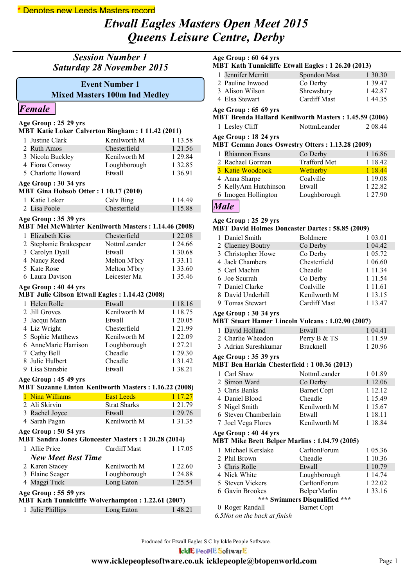### \* Denotes new Leeds Masters record

# *Etwall Eagles Masters Open Meet 2015 Queens Leisure Centre, Derby*

| <b>Session Number 1</b><br><b>Saturday 28 November 2015</b>                 |                                                                                   |                                                               |             |  |  |  |
|-----------------------------------------------------------------------------|-----------------------------------------------------------------------------------|---------------------------------------------------------------|-------------|--|--|--|
|                                                                             |                                                                                   | <b>Event Number 1</b><br><b>Mixed Masters 100m Ind Medley</b> |             |  |  |  |
|                                                                             | Female                                                                            |                                                               |             |  |  |  |
|                                                                             | Age Group: 25 29 yrs                                                              |                                                               |             |  |  |  |
|                                                                             | MBT Katie Loker Calverton Bingham: 1 11.42 (2011)                                 |                                                               |             |  |  |  |
|                                                                             | 1 Justine Clark                                                                   | Kenilworth M                                                  | 1 13.58     |  |  |  |
|                                                                             | 2 Ruth Amos                                                                       | Chesterfield                                                  | 1 21.56     |  |  |  |
|                                                                             | 3 Nicola Buckley                                                                  | Kenilworth M                                                  | 1 29.84     |  |  |  |
|                                                                             | 4 Fiona Conway                                                                    | Loughborough                                                  | 1 32.85     |  |  |  |
|                                                                             | 5 Charlotte Howard                                                                | Etwall                                                        | 1 3 6 9 1   |  |  |  |
|                                                                             | Age Group: 30 34 yrs<br><b>MBT Gina Hobsob Otter: 1 10.17 (2010)</b>              |                                                               |             |  |  |  |
|                                                                             | 1 Katie Loker                                                                     | Calv Bing                                                     | 1 14.49     |  |  |  |
|                                                                             | 2 Lisa Poole                                                                      | Chesterfield                                                  | 1 15.88     |  |  |  |
|                                                                             | Age Group: 35 39 yrs<br>MBT Mel McWhirter Kenilworth Masters: 1.14.46 (2008)      |                                                               |             |  |  |  |
|                                                                             | 1 Elizabeth Kiss                                                                  | Chesterfield                                                  | 1 22.08     |  |  |  |
|                                                                             | 2 Stephanie Brakespear                                                            | NottmLeander                                                  | 1 24.66     |  |  |  |
|                                                                             | 3 Carolyn Dyall                                                                   | Etwall                                                        | 1 30.68     |  |  |  |
|                                                                             | 4 Nancy Reed                                                                      | Melton M'bry                                                  | 1 3 3 . 1 1 |  |  |  |
|                                                                             | 5 Kate Rose                                                                       | Melton M'bry                                                  | 1 3 3 . 6 0 |  |  |  |
|                                                                             | 6 Laura Davison                                                                   | Leicester Ma                                                  | 1 35.46     |  |  |  |
|                                                                             | Age Group: 40 44 yrs<br>MBT Julie Gibson Etwall Eagles: 1.14.42 (2008)            |                                                               |             |  |  |  |
|                                                                             | 1 Helen Rolle                                                                     | Etwall                                                        | 1 18.16     |  |  |  |
|                                                                             | 2 Jill Groves                                                                     | Kenilworth M                                                  | 1 18.75     |  |  |  |
|                                                                             | 3 Jacqui Mann                                                                     | Etwall                                                        | 1 20.05     |  |  |  |
|                                                                             | 4 Liz Wright                                                                      | Chesterfield                                                  | 1 21.99     |  |  |  |
|                                                                             | 5 Sophie Matthews                                                                 | Kenilworth M                                                  | 1 22.09     |  |  |  |
|                                                                             | 6 AnneMarie Harrison                                                              | Loughborough                                                  | 1 27.21     |  |  |  |
|                                                                             | 7 Cathy Bell                                                                      | Cheadle                                                       | 1 29.30     |  |  |  |
|                                                                             | 8 Julie Hulbert                                                                   | Cheadle                                                       | 1 3 1 .4 2  |  |  |  |
| 9                                                                           | Lisa Stansbie                                                                     | Etwall                                                        | 138.21      |  |  |  |
|                                                                             |                                                                                   |                                                               |             |  |  |  |
|                                                                             | Age Group: 45 49 yrs<br>MBT Suzanne Linton Kenilworth Masters: 1.16.22 (2008)     |                                                               |             |  |  |  |
|                                                                             | 1 Nina Williams                                                                   | <b>East Leeds</b>                                             | 1 17.27     |  |  |  |
|                                                                             | 2 Ali Skirvin                                                                     | <b>Strat Sharks</b>                                           | 1 21.79     |  |  |  |
|                                                                             | 3 Rachel Joyce                                                                    | Etwall                                                        | 1 29.76     |  |  |  |
|                                                                             | 4 Sarah Pagan                                                                     | Kenilworth M                                                  | 1 3 1 . 3 5 |  |  |  |
| Age Group: 50 54 yrs<br>MBT Sandra Jones Gloucester Masters: 1 20.28 (2014) |                                                                                   |                                                               |             |  |  |  |
|                                                                             | 1 Allie Price                                                                     | <b>Cardiff Mast</b>                                           | 1 17.05     |  |  |  |
|                                                                             | <b>New Meet Best Time</b>                                                         |                                                               |             |  |  |  |
|                                                                             | 2 Karen Stacey                                                                    | Kenilworth M                                                  | 1 22.60     |  |  |  |
|                                                                             | 3 Elaine Seager                                                                   | Loughborough                                                  | 1 24.88     |  |  |  |
|                                                                             | 4 Maggi Tuck                                                                      | Long Eaton                                                    | 1 25.54     |  |  |  |
|                                                                             | Age Group: 55 59 yrs<br><b>MBT Kath Tunnicliffe Wolverhampton: 1.22.61 (2007)</b> |                                                               |             |  |  |  |
| 1                                                                           | Julie Phillips                                                                    | Long Eaton                                                    | 148.21      |  |  |  |
|                                                                             |                                                                                   |                                                               |             |  |  |  |

| Age Group : 60 64 yrs<br>MBT Kath Tunnicliffe Etwall Eagles: 1 26.20 (2013) |                     |         |  |  |
|-----------------------------------------------------------------------------|---------------------|---------|--|--|
| Jennifer Merritt<br>1.                                                      | Spondon Mast        | 1 30.30 |  |  |
| 2 Pauline Inwood                                                            | Co Derby            | 1 39.47 |  |  |
| 3 Alison Wilson                                                             | Shrewsbury          | 142.87  |  |  |
| 4 Elsa Stewart                                                              | Cardiff Mast        | 144.35  |  |  |
| Age Group: 65 69 yrs                                                        |                     |         |  |  |
| MBT Brenda Hallard Kenilworth Masters: 1.45.59 (2006)                       |                     |         |  |  |
| 1 Lesley Cliff                                                              | NottmLeander        | 2 08:44 |  |  |
| Age Group : 18 24 yrs                                                       |                     |         |  |  |
| <b>MBT Gemma Jones Oswestry Otters: 1.13.28 (2009)</b>                      |                     |         |  |  |
| <b>Rhiannon Evans</b><br>1.                                                 | Co Derby            | 1 16.86 |  |  |
| 2 Rachael Gorman                                                            | <b>Trafford Met</b> | 1 18.42 |  |  |
| <b>3 Katie Woodcock</b>                                                     | Wetherby            | 1 18.44 |  |  |
| 4 Anna Sharpe                                                               | Coalville           | 1 19.08 |  |  |
| 5 KellyAnn Hutchinson                                                       | Etwall              | 1 22.82 |  |  |
| 6 Imogen Hollington                                                         | Loughborough        | 1 27.90 |  |  |
| <i>ale</i>                                                                  |                     |         |  |  |

#### **Age Group : 25 29 yrs**

| <b>MBT David Holmes Doncaster Dartes: 58.85 (2009)</b> |                     |             |
|--------------------------------------------------------|---------------------|-------------|
| 1 Daniel Smith                                         | Boldmere            | 1 03.01     |
| 2 Claemey Boutry                                       | Co Derby            | 1 04.42     |
| 3 Christopher Howe                                     | Co Derby            | 1 05.72     |
| 4 Jack Chambers                                        | Chesterfield        | 1 06.60     |
| 5 Carl Machin                                          | Cheadle             | 1 1 1 . 3 4 |
| 6 Joe Scurrah                                          | Co Derby            | 1 1 1 .54   |
| 7 Daniel Clarke                                        | Coalville           | 1 1 1 .6 1  |
| 8 David Underhill                                      | Kenilworth M        | 1 13.15     |
| 9 Tomas Stewart                                        | <b>Cardiff Mast</b> | 1 13.47     |

### **Age Group : 30 34 yrs**

#### **MBT Stuart Hamer Lincoln Vulcans : 1.02.90 (2007)**

| 1 David Holland      | Etwall           | 1 04.41   |
|----------------------|------------------|-----------|
| 2 Charlie Wheadon    | Perry B & TS     | 1 1 1 5 9 |
| 3 Adrian Sureshkumar | <b>Bracknell</b> | 1 20.96   |

#### **Age Group : 35 39 yrs**

#### **MBT Ben Harkin Chesterfield : 1 00.36 (2013)**

| 1 Carl Shaw          | NottmLeander       | 1 01.89 |
|----------------------|--------------------|---------|
| 2 Simon Ward         | Co Derby           | 1 12.06 |
| 3 Chris Banks        | <b>Barnet Copt</b> | 1 12.12 |
| 4 Daniel Blood       | Cheadle            | 1 15.49 |
| 5 Nigel Smith        | Kenilworth M       | 1 15.67 |
| 6 Steven Chamberlain | Etwall             | 1 18.11 |
| 7 Joel Vega Flores   | Kenilworth M       | 1 18.84 |
|                      |                    |         |

#### **Age Group : 40 44 yrs**

| <b>MBT Mike Brett Belper Marlins: 1.04.79 (2005)</b> |              |         |
|------------------------------------------------------|--------------|---------|
| 1 Michael Kerslake                                   | CarltonForum | 1 05.36 |
| 2 Phil Brown                                         | Cheadle      | 1 10.36 |
| 3 Chris Rolle                                        | Etwall       | 1 10.79 |
| 4 Nick White                                         | Loughborough | 1 14.74 |
| 5 Steven Vickers                                     | CarltonForum | 1 22 02 |

- 6 Gavin Brookes BelperMarlin 1 33.16
- 70 Roger Randall Barnet Copt **\*\*\* Swimmers Disqualified \*\*\***
- *6.5Not on the back at finish*
-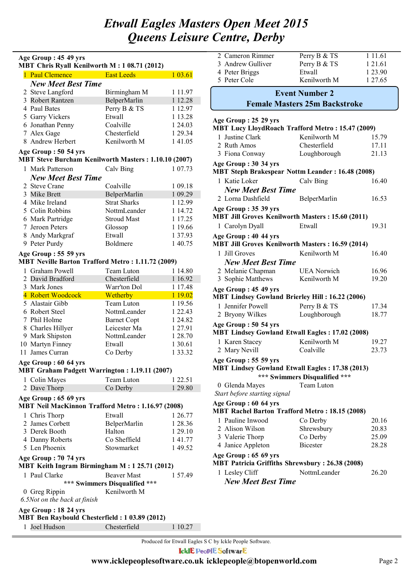#### **MBT Chris Ryall Kenilworth M : 1 08.71 (2012) Age Group : 45 49 yrs**

|                      | мы сшв куми концубски и с тоолт (2012)<br>1 Paul Clemence East Leeds         |                               | 1 03.61     |
|----------------------|------------------------------------------------------------------------------|-------------------------------|-------------|
|                      | <b>New Meet Best Time</b>                                                    |                               |             |
|                      |                                                                              |                               |             |
|                      | 2 Steve Langford                                                             | Birmingham M                  | 1 1 1 . 9 7 |
|                      | 3 Robert Rantzen                                                             | BelperMarlin                  | 1 12.28     |
|                      | 4 Paul Bates                                                                 | Perry B & TS                  | 1 12.97     |
|                      | 5 Garry Vickers                                                              | Etwall                        | 1 13.28     |
|                      | 6 Jonathan Penny                                                             | Coalville                     | 1 24.03     |
|                      | 7 Alex Gage                                                                  | Chesterfield                  | 1 29.34     |
|                      | 8 Andrew Herbert                                                             | Kenilworth M                  | 1 41.05     |
|                      | Age Group: 50 54 yrs<br>MBT Steve Burcham Kenilworth Masters: 1.10.10 (2007) |                               |             |
|                      | 1 Mark Patterson                                                             | Calv Bing                     | 1 07.73     |
|                      | <b>New Meet Best Time</b>                                                    |                               |             |
|                      | 2 Steve Crane                                                                | Coalville                     | 1 09.18     |
|                      | 3 Mike Brett                                                                 | BelperMarlin                  | 1 09.29     |
|                      | 4 Mike Ireland                                                               | <b>Strat Sharks</b>           | 1 12.99     |
|                      | 5 Colin Robbins                                                              | NottmLeander                  | 1 14.72     |
|                      | 6 Mark Partridge                                                             | <b>Stroud Mast</b>            | 1 17.25     |
|                      | 7 Jeroen Peters                                                              | Glossop                       | 1 19.66     |
|                      | 8 Andy Markgraf                                                              | Etwall                        | 137.93      |
|                      | 9 Peter Purdy                                                                | Boldmere                      | 140.75      |
|                      | Age Group: 55 59 yrs                                                         |                               |             |
|                      | <b>MBT Neville Barton Trafford Metro: 1.11.72 (2009)</b>                     |                               |             |
|                      | 1 Graham Powell                                                              | Team Luton                    | 1 14.80     |
|                      | 2 David Bradford                                                             | Chesterfield                  | 1 16.92     |
|                      | 3 Mark Jones                                                                 | Warr'ton Dol                  | 1 17.48     |
|                      | 4 Robert Woodcock                                                            | <b>Wetherby</b>               | 1 19.02     |
|                      | 5 Alastair Gibb                                                              | Team Luton                    | 1 19.56     |
|                      | 6 Robert Steel                                                               | NottmLeander                  | 1 22.43     |
|                      | 7 Phil Holme                                                                 | <b>Barnet Copt</b>            | 1 24.82     |
|                      | 8 Charles Hillyer                                                            | Leicester Ma                  | 1 27.91     |
|                      | 9 Mark Shipston                                                              | NottmLeander                  | 1 28.70     |
|                      | 10 Martyn Finney                                                             | Etwall                        | 1 30.61     |
|                      | 11 James Curran                                                              | Co Derby                      | 1 3 3 . 3 2 |
|                      | Age Group: 60 64 yrs<br>MBT Graham Padgett Warrington: 1.19.11 (2007)        |                               |             |
|                      | 1 Colin Mayes Team Luton 1 22.51                                             |                               |             |
|                      | 2 Dave Thorp                                                                 | Co Derby                      | 1 29.80     |
|                      | Age Group: 65 69 yrs                                                         |                               |             |
|                      | <b>MBT Neil MacKinnon Trafford Metro: 1.16.97 (2008)</b>                     |                               |             |
|                      | 1 Chris Thorp                                                                | Etwall                        | 1 26.77     |
|                      | 2 James Corbett                                                              | BelperMarlin                  | 1 28.36     |
|                      | 3 Derek Booth                                                                | Halton                        | 1 29.10     |
|                      | 4 Danny Roberts                                                              | Co Sheffield                  | 141.77      |
|                      | 5 Len Phoenix                                                                | Stowmarket                    | 149.52      |
|                      | Age Group: 70 74 yrs<br>MBT Keith Ingram Birmingham M: 1 25.71 (2012)        |                               |             |
|                      | 1 Paul Clarke                                                                | <b>Beaver Mast</b>            | 1 57.49     |
|                      |                                                                              | *** Swimmers Disqualified *** |             |
|                      | 0 Greg Rippin                                                                | Kenilworth M                  |             |
|                      | 6.5Not on the back at finish                                                 |                               |             |
| Age Group: 18 24 yrs |                                                                              |                               |             |
|                      | MBT Ben Raybould Chesterfield: 1 03.89 (2012)                                |                               |             |
| 1                    | Joel Hudson                                                                  | Chesterfield                  | 1 10.27     |

| 2 Cameron Rimmer  | Perry B & TS | 1 1 1 .6 1 |
|-------------------|--------------|------------|
| 3 Andrew Gulliver | Perry B & TS | 1 2 1 .6 1 |
| 4 Peter Briggs    | Etwall       | 1 23.90    |
| 5 Peter Cole      | Kenilworth M | 1 2 7 6 5  |
|                   |              |            |

### **Female Masters 25m Backstroke Event Number 2**

| Age Group: 25 29 yrs                                                            |                               |       |
|---------------------------------------------------------------------------------|-------------------------------|-------|
| <b>MBT Lucy LloydRoach Trafford Metro: 15.47 (2009)</b>                         |                               |       |
| 1 Justine Clark                                                                 | Kenilworth M                  | 15.79 |
| 2 Ruth Amos                                                                     | Chesterfield                  | 17.11 |
| 3 Fiona Conway                                                                  | Loughborough                  | 21.13 |
| Age Group: 30 34 yrs<br><b>MBT Steph Brakespear Nottm Leander: 16.48 (2008)</b> |                               |       |
| 1 Katie Loker                                                                   | Calv Bing                     | 16.40 |
| <b>New Meet Best Time</b>                                                       |                               |       |
| 2 Lorna Dashfield                                                               | BelperMarlin                  | 16.53 |
| Age Group: 35 39 yrs                                                            |                               |       |
| <b>MBT Jill Groves Kenilworth Masters: 15.60 (2011)</b>                         |                               |       |
| 1 Carolyn Dyall                                                                 | Etwall                        | 19.31 |
| Age Group: 40 44 yrs                                                            |                               |       |
| <b>MBT Jill Groves Kenilworth Masters: 16.59 (2014)</b>                         |                               |       |
| 1 Jill Groves                                                                   | Kenilworth M                  | 16.40 |
| <b>New Meet Best Time</b>                                                       |                               |       |
| 2 Melanie Chapman                                                               | <b>UEA</b> Norwich            | 16.96 |
| 3 Sophie Matthews                                                               | Kenilworth M                  | 19.20 |
| Age Group: 45 49 yrs                                                            |                               |       |
| <b>MBT Lindsey Gowland Brierley Hill: 16.22 (2006)</b>                          |                               |       |
| 1 Jennifer Powell                                                               | Perry B & TS                  | 17.34 |
| 2 Bryony Wilkes                                                                 | Loughborough                  | 18.77 |
| Age Group: 50 54 yrs                                                            |                               |       |
| <b>MBT Lindsey Gowland Etwall Eagles: 17.02 (2008)</b>                          |                               |       |
| 1 Karen Stacey                                                                  | Kenilworth M                  | 19.27 |
| 2 Mary Nevill                                                                   | Coalville                     | 23.73 |
| Age Group: 55 59 yrs                                                            |                               |       |
| <b>MBT Lindsey Gowland Etwall Eagles: 17.38 (2013)</b>                          |                               |       |
|                                                                                 | *** Swimmers Disqualified *** |       |
| 0 Glenda Mayes                                                                  | Team Luton                    |       |
| Start before starting signal                                                    |                               |       |
| Age Group: 60 64 yrs                                                            |                               |       |
| <b>MBT Rachel Barton Trafford Metro: 18.15 (2008)</b>                           |                               |       |
| 1 Pauline Inwood Co Derby                                                       |                               | 20.16 |
| 2 Alison Wilson                                                                 | Shrewsbury                    | 20.83 |
| 3 Valerie Thorp                                                                 | Co Derby                      | 25.09 |
| 4 Janice Appleton                                                               | <b>Bicester</b>               | 28.28 |
| Age Group: 65 69 yrs                                                            |                               |       |
| <b>MBT Patricia Griffiths Shrewsbury: 26.38 (2008)</b>                          |                               |       |
| 1 Lesley Cliff                                                                  | NottmLeander                  | 26.20 |
| <b>New Meet Best Time</b>                                                       |                               |       |

Produced for Etwall Eagles S C by Ickle People Software. **IcklE PeoplE SoftwarE**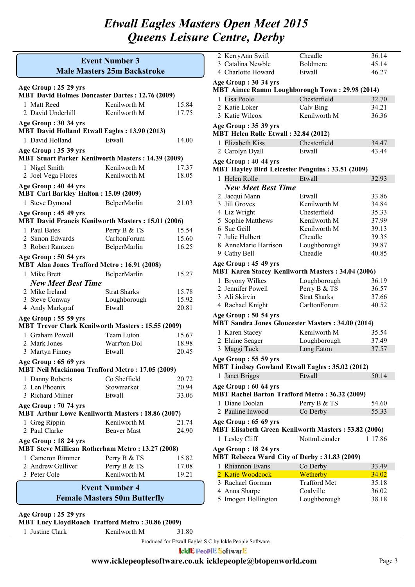### **Male Masters 25m Backstroke Event Number 3**

| Age Group: 25 29 yrs<br><b>MBT David Holmes Doncaster Dartes: 12.76 (2009)</b>    |                       |       |
|-----------------------------------------------------------------------------------|-----------------------|-------|
| 1 Matt Reed                                                                       | Kenilworth M          | 15.84 |
| 2 David Underhill                                                                 | Kenilworth M          |       |
|                                                                                   |                       | 17.75 |
| Age Group: 30 34 yrs<br><b>MBT David Holland Etwall Eagles: 13.90 (2013)</b>      |                       |       |
| 1 David Holland                                                                   | Etwall                | 14.00 |
| Age Group: 35 39 yrs<br><b>MBT Stuart Parker Kenilworth Masters: 14.39 (2009)</b> |                       |       |
| 1 Nigel Smith                                                                     | Kenilworth M          | 17.37 |
| 2 Joel Vega Flores                                                                | Kenilworth M          | 18.05 |
| Age Group: 40 44 yrs<br><b>MBT Carl Barkley Halton: 15.09 (2009)</b>              |                       |       |
| 1 Steve Dymond                                                                    | BelperMarlin          | 21.03 |
| Age Group: 45 49 yrs                                                              |                       |       |
| <b>MBT David Francis Kenilworth Masters: 15.01 (2006)</b>                         |                       |       |
| 1 Paul Bates                                                                      | Perry B & TS          | 15.54 |
| 2 Simon Edwards                                                                   | CarltonForum          | 15.60 |
| 3 Robert Rantzen                                                                  | BelperMarlin          | 16.25 |
| Age Group: 50 54 yrs<br><b>MBT Alan Jones Trafford Metro: 16.91 (2008)</b>        |                       |       |
| 1 Mike Brett                                                                      | BelperMarlin          | 15.27 |
| <b>New Meet Best Time</b>                                                         |                       |       |
| 2 Mike Ireland                                                                    | <b>Strat Sharks</b>   | 15.78 |
| 3 Steve Conway                                                                    | Loughborough          | 15.92 |
| 4 Andy Markgraf                                                                   | Etwall                | 20.81 |
| Age Group: 55 59 yrs                                                              |                       |       |
| <b>MBT Trevor Clark Kenilworth Masters: 15.55 (2009)</b>                          |                       |       |
| 1 Graham Powell                                                                   | Team Luton            | 15.67 |
| 2 Mark Jones                                                                      | Warr'ton Dol          | 18.98 |
| 3 Martyn Finney                                                                   | Etwall                | 20.45 |
| Age Group: 65 69 yrs                                                              |                       |       |
| <b>MBT Neil Mackinnon Trafford Metro: 17.05 (2009)</b>                            |                       |       |
| 1 Danny Roberts                                                                   | Co Sheffield          | 20.72 |
| 2 Len Phoenix                                                                     | Stowmarket            | 20.94 |
| 3 Richard Milner                                                                  | Etwall                | 33.06 |
| Age Group: 70 74 yrs<br><b>MBT Arthur Lowe Kenilworth Masters: 18.86 (2007)</b>   |                       |       |
| 1 Greg Rippin                                                                     | Kenilworth M          | 21.74 |
| 2 Paul Clarke                                                                     | <b>Beaver Mast</b>    | 24.90 |
| Age Group: 18 24 yrs                                                              |                       |       |
| MBT Steve Millican Rotherham Metro: 13.27 (2008)                                  |                       |       |
| 1 Cameron Rimmer                                                                  | Perry B & TS          | 15.82 |
| 2 Andrew Gulliver                                                                 | Perry B & TS          | 17.08 |
| 3 Peter Cole                                                                      | Kenilworth M          | 19.21 |
|                                                                                   | <b>Event Number 4</b> |       |

### **Female Masters 50m Butterfly**

**Age Group : 25 29 yrs**

**MBT Lucy LloydRoach Trafford Metro : 30.86 (2009)**

1 Justine Clark Kenilworth M 31.80

2 KerryAnn Swift Cheadle 36.14 3 Catalina Newble Boldmere 45.14 4 Charlotte Howard Etwall 46.27 1 Lisa Poole Chesterfield 32.70 **MBT Aimee Ramm Loughborough Town : 29.98 (2014) Age Group : 30 34 yrs** 2 Katie Loker Calv Bing 34.21 3 Katie Wilcox Kenilworth M 36.36 1 Elizabeth Kiss Chesterfield 34.47 **MBT Helen Rolle Etwall : 32.84 (2012) Age Group : 35 39 yrs** 2 Carolyn Dyall Etwall 43.44 1 Helen Rolle Etwall 32.93 *New Meet Best Time* **MBT Hayley Bird Leicester Penguins : 33.51 (2009) Age Group : 40 44 yrs** 2 Jacqui Mann Etwall 33.86 3 Jill Groves Kenilworth M 34.84 4 Liz Wright Chesterfield 35.33 5 Sophie Matthews Kenilworth M 37.99 6 Sue Geill Kenilworth M 39.13 7 Julie Hulbert Cheadle 39.35 8 AnneMarie Harrison Loughborough 39.87 9 Cathy Bell Cheadle 40.85 1 Bryony Wilkes Loughborough 36.19 **MBT Karen Stacey Kenilworth Masters : 34.04 (2006) Age Group : 45 49 yrs** 2 Jennifer Powell Perry B & TS 36.57 3 Ali Skirvin Strat Sharks 37.66 4 Rachael Knight CarltonForum 40.52 1 Karen Stacey Kenilworth M 35.54 **MBT Sandra Jones Gloucester Masters : 34.00 (2014) Age Group : 50 54 yrs** 2 Elaine Seager Loughborough 37.49 3 Maggi Tuck Long Eaton 37.57 1 Janet Briggs Etwall 50.14 **MBT Lindsey Gowland Etwall Eagles : 35.02 (2012) Age Group : 55 59 yrs** 1 Diane Doolan Perry B & TS 54.60 **MBT Rachel Barton Trafford Metro : 36.32 (2009) Age Group : 60 64 yrs** 2 Pauline Inwood Co Derby 55.33 1 Lesley Cliff NottmLeander 1 17.86 **MBT Elisabeth Green Kenilworth Masters : 53.82 (2006) Age Group : 65 69 yrs MBT Rebecca Ward City of Derby : 31.83 (2009) Age Group : 18 24 yrs**

| 1 Rhiannon Evans    | Co Derby            | 33.49 |
|---------------------|---------------------|-------|
| 2 Katie Woodcock    | Wetherby            | 34.02 |
| 3 Rachael Gorman    | <b>Trafford Met</b> | 35.18 |
| 4 Anna Sharpe       | Coalville           | 36.02 |
| 5 Imogen Hollington | Loughborough        | 38.18 |

Produced for Etwall Eagles S C by Ickle People Software.

**IcklE PeoplE SoftwarE**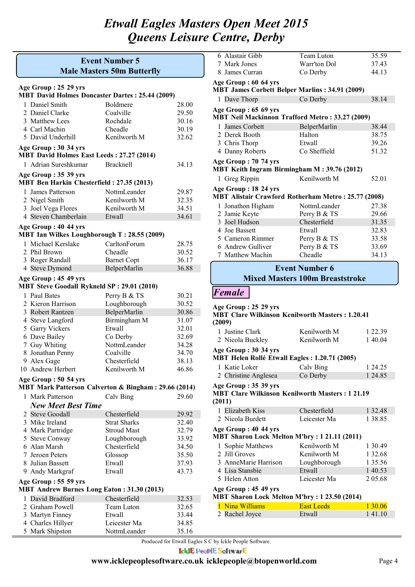### **Male Masters 50m Butterfly Event Number 5**

### **Age Group : 25 29 yrs**

| $\Delta$ gc oroup . 20 27 yrs<br><b>MBT David Holmes Doncaster Dartes: 25.44 (2009)</b> |                     |       |  |
|-----------------------------------------------------------------------------------------|---------------------|-------|--|
| 1 Daniel Smith                                                                          | Boldmere            | 28.00 |  |
| 2 Daniel Clarke                                                                         | Coalville           | 29.50 |  |
| 3 Matthew Lees                                                                          | Rochdale            | 30.16 |  |
| 4 Carl Machin                                                                           | Cheadle             | 30.19 |  |
| 5 David Underhill                                                                       | Kenilworth M        | 32.62 |  |
| Age Group: 30 34 yrs                                                                    |                     |       |  |
| MBT David Holmes East Leeds: 27.27 (2014)                                               |                     |       |  |
| 1 Adrian Sureshkumar                                                                    | Bracknell           | 34.13 |  |
|                                                                                         |                     |       |  |
| Age Group: 35 39 yrs<br>MBT Ben Harkin Chesterfield: 27.35 (2013)                       |                     |       |  |
| 1 James Patterson                                                                       | NottmLeander        | 29.87 |  |
| 2 Nigel Smith                                                                           | Kenilworth M        | 32.35 |  |
| 3 Joel Vega Flores                                                                      | Kenilworth M        | 34.51 |  |
| 4 Steven Chamberlain                                                                    | Etwall              | 34.61 |  |
|                                                                                         |                     |       |  |
| Age Group: 40 44 yrs                                                                    |                     |       |  |
| MBT Ian Wilkes Loughborough T: 28.55 (2009)                                             |                     |       |  |
| 1 Michael Kerslake                                                                      | CarltonForum        | 28.75 |  |
| 2 Phil Brown                                                                            | Cheadle             | 30.52 |  |
| 3 Roger Randall                                                                         | <b>Barnet Copt</b>  | 36.17 |  |
| 4 Steve Dymond                                                                          | BelperMarlin        | 36.88 |  |
| Age Group: 45 49 yrs                                                                    |                     |       |  |
| <b>MBT Steve Goodall Rykneld SP: 29.01 (2010)</b>                                       |                     |       |  |
| 1 Paul Bates                                                                            | Perry B & TS        | 30.21 |  |
| 2 Kieron Harrison                                                                       | Loughborough        | 30.52 |  |
| 3 Robert Rantzen                                                                        | BelperMarlin        | 30.86 |  |
| 4 Steve Langford                                                                        | Birmingham M        | 31.07 |  |
| 5 Garry Vickers                                                                         | Etwall              | 32.01 |  |
| 6 Dave Bailey                                                                           | Co Derby            | 32.69 |  |
| 7 Guy Whiting                                                                           | NottmLeander        | 34.28 |  |
| 8 Jonathan Penny                                                                        | Coalville           | 34.70 |  |
| 9 Alex Gage                                                                             | Chesterfield        | 38.13 |  |
| 10 Andrew Herbert                                                                       | Kenilworth M        | 46.86 |  |
| Age Group: 50 54 yrs                                                                    |                     |       |  |
| MBT Mark Patterson Calverton & Bingham: 29.66 (2014)                                    |                     |       |  |
| 1 Mark Patterson                                                                        | Calv Bing           | 29.60 |  |
| <b>New Meet Best Time</b>                                                               |                     |       |  |
| 2 Steve Goodall                                                                         | Chesterfield        | 29.92 |  |
| 3 Mike Ireland                                                                          | <b>Strat Sharks</b> | 32.40 |  |
| 4 Mark Partridge                                                                        | <b>Stroud Mast</b>  | 32.79 |  |
| 5 Steve Conway                                                                          | Loughborough        | 33.92 |  |
| 6 Alan Marsh                                                                            | Chesterfield        | 34.50 |  |
| 7 Jeroen Peters                                                                         | Glossop             | 35.50 |  |
| 8 Julian Bassett                                                                        | Etwall              | 37.93 |  |
| 9 Andy Markgraf                                                                         | Etwall              | 43.73 |  |
| Age Group: 55 59 yrs                                                                    |                     |       |  |
| <b>MBT Andrew Burnes Long Eaton: 31.30 (2013)</b>                                       |                     |       |  |
| 1 David Bradford                                                                        | Chesterfield        | 32.53 |  |
| 2 Graham Powell                                                                         | Team Luton          | 32.65 |  |
| 3 Martyn Finney                                                                         | Etwall              | 33.44 |  |
| 4 Charles Hillyer                                                                       | Leicester Ma        | 34.85 |  |
| 5 Mark Shipston                                                                         | NottmLeander        | 35.16 |  |

| 6 Alastair Gibb                                        | Team Luton                                  | 35.59 |  |
|--------------------------------------------------------|---------------------------------------------|-------|--|
| 7 Mark Jones                                           | Warr'ton Dol                                | 37.43 |  |
| 8 James Curran                                         | Co Derby                                    | 44.13 |  |
| Age Group: 60 64 yrs                                   |                                             |       |  |
| <b>MBT James Corbett Belper Marlins: 34.91 (2009)</b>  |                                             |       |  |
| 1 Dave Thorp                                           | Co Derby                                    | 38.14 |  |
| Age Group: 65 69 yrs                                   |                                             |       |  |
| <b>MBT Neil Mackinnon Trafford Metro: 33.27 (2009)</b> |                                             |       |  |
| James Corbett<br>1.                                    | BelperMarlin                                | 38.44 |  |
| 2 Derek Booth                                          | Halton                                      | 38.75 |  |
| 3 Chris Thorp                                          | Etwall                                      | 39.26 |  |
| 4 Danny Roberts                                        | Co Sheffield                                | 51.32 |  |
| Age Group: 70 74 yrs                                   |                                             |       |  |
| MBT Keith Ingram Birmingham M: 39.76 (2012)            |                                             |       |  |
| 1 Greg Rippin                                          | Kenilworth M                                | 52.01 |  |
| Age Group: 18 24 yrs                                   |                                             |       |  |
| MBT Alistair Crawford Rotherham Metro: 25.77 (2008)    |                                             |       |  |
| 1 Jonathon Higham                                      | NottmLeander                                | 27.38 |  |
| 2 Jamie Keyte                                          | Perry B & TS                                | 29.66 |  |
| 3 Joel Hudson                                          | Chesterfield                                | 31.35 |  |
| 4 Joe Bassett                                          | Etwall                                      | 32.83 |  |
| 5 Cameron Rimmer                                       | Perry B & TS                                | 33.58 |  |
| 6 Andrew Gulliver                                      | Perry B & TS                                | 33.69 |  |
| 7 Matthew Machin                                       | Cheadle                                     | 34.13 |  |
|                                                        | <b>Event Number 6</b>                       |       |  |
| <b>Mixed Masters 100m Breaststroke</b>                 |                                             |       |  |
|                                                        |                                             |       |  |
| <b>Female</b>                                          |                                             |       |  |
| Age Group: 25 29 yrs                                   | TDT CL., WELL,  IZ., T.,  II. M.,   1.40.41 |       |  |

| $1120$ Oroup $122$ $27$ $113$<br><b>MBT Clare Wilkinson Kenilworth Masters: 1.20.41</b><br>(2009) |                                                   |  |  |  |
|---------------------------------------------------------------------------------------------------|---------------------------------------------------|--|--|--|
|                                                                                                   |                                                   |  |  |  |
|                                                                                                   |                                                   |  |  |  |
|                                                                                                   | 1 22 39<br>Kenilworth M<br>140.04<br>Kenilworth M |  |  |  |

#### **MBT Helen Rollé Etwall Eagles : 1.20.71 (2005) Age Group : 30 34 yrs**

| 1 Katie Loker        | Calv Bing | 1 24.25 |
|----------------------|-----------|---------|
| 2 Christine Anglesea | Co Derby  | 1 24.85 |

#### **Age Group : 35 39 yrs**

#### **MBT Clare Wilkinson Kenilworth Masters : 1 21.19 (2011)**

| $1 - 0 - 1$ |                                                     |              |         |
|-------------|-----------------------------------------------------|--------------|---------|
|             | 1 Elizabeth Kiss                                    | Chesterfield | 1 32.48 |
|             | 2 Nicola Burdett                                    | Leicester Ma | 1 38.85 |
|             | Age Group: 40 44 yrs                                |              |         |
|             | <b>MBT Sharon Lock Melton M'bry: 1 21.11 (2011)</b> |              |         |
|             | 1 Sophie Matthews                                   | Kenilworth M | 1 30.49 |
|             | 2 Jill Groves                                       | Kenilworth M | 1 32.68 |
|             | 3 AnneMarie Harrison                                | Loughborough | 1 35.56 |
|             | 4 Lisa Stansbie                                     | Etwall       | 1 40.53 |
|             | 5 Helen Atton                                       | Leicester Ma | 205.68  |
|             |                                                     |              |         |

#### **Age Group : 45 49 yrs**

#### **MBT Sharon Lock Melton M'bry : 1 23.50 (2014)**

| 1 Nina Williams | East Leeds | 1 30 06 |
|-----------------|------------|---------|
| 2 Rachel Joyce  | Etwall     | 141.10  |
|                 |            |         |

Produced for Etwall Eagles S C by Ickle People Software.

**IcklE PeoplE SoftwarE**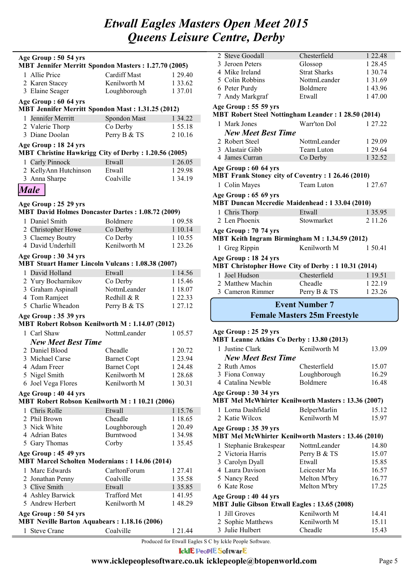| Age Group: 50 54 yrs<br><b>MBT Jennifer Merritt Spondon Masters: 1.27.70 (2005)</b> |                     |             |  |
|-------------------------------------------------------------------------------------|---------------------|-------------|--|
|                                                                                     |                     |             |  |
| 1 Allie Price                                                                       | <b>Cardiff Mast</b> | 1 29.40     |  |
| 2 Karen Stacey                                                                      | Kenilworth M        | 1 3 3 . 6 2 |  |
| 3 Elaine Seager                                                                     | Loughborough        | 1 37.01     |  |
| Age Group: 60 64 yrs                                                                |                     |             |  |
| <b>MBT Jennifer Merritt Spondon Mast: 1.31.25 (2012)</b>                            |                     |             |  |
| Jennifer Merritt<br>1                                                               | Spondon Mast        | 1 34.22     |  |
| 2 Valerie Thorp                                                                     | Co Derby            | 155.18      |  |
| 3 Diane Doolan                                                                      | Perry B & TS        | 2 10.16     |  |
| Age Group: 18 24 yrs                                                                |                     |             |  |
| MBT Christine Hawkrigg City of Derby: 1.20.56 (2005)                                |                     |             |  |
| 1 Carly Pinnock                                                                     | Etwall              | 1 26.05     |  |
| 2 KellyAnn Hutchinson                                                               | Etwall              | 1 29.98     |  |
| 3 Anna Sharpe                                                                       | Coalville           | 1 34.19     |  |
| <b>Male</b>                                                                         |                     |             |  |
|                                                                                     |                     |             |  |
| Age Group: 25 29 yrs                                                                |                     |             |  |
| <b>MBT David Holmes Doncaster Dartes: 1.08.72 (2009)</b>                            |                     |             |  |
| 1 Daniel Smith                                                                      | <b>Boldmere</b>     | 1 09.58     |  |
| 2 Christopher Howe                                                                  | Co Derby            | 1 10.14     |  |
| 3 Claemey Boutry                                                                    | Co Derby            | 1 10.55     |  |
| 4 David Underhill                                                                   | Kenilworth M        | 1 23.26     |  |
|                                                                                     |                     |             |  |
| Age Group: 30 34 yrs<br><b>MBT Stuart Hamer Lincoln Vulcans: 1.08.38 (2007)</b>     |                     |             |  |
| 1 David Holland                                                                     | Etwall              |             |  |
|                                                                                     |                     | 1 14.56     |  |
| 2 Yury Bocharnikov                                                                  | Co Derby            | 1 15.46     |  |
| 3 Graham Aspinall                                                                   | NottmLeander        | 1 18.07     |  |
| 4 Tom Ramjeet                                                                       | Redhill & R         | 1 22.33     |  |
| 5 Charlie Wheadon                                                                   | Perry B & TS        | 1 27.12     |  |
| Age Group: 35 39 yrs                                                                |                     |             |  |
| MBT Robert Robson Kenilworth M: 1.14.07 (2012)                                      |                     |             |  |
| 1 Carl Shaw                                                                         | NottmLeander        | 1 05.57     |  |
| <b>New Meet Best Time</b>                                                           |                     |             |  |
| 2 Daniel Blood                                                                      | Cheadle             | 1 20.72     |  |
| 3 Michael Carse                                                                     | <b>Barnet Copt</b>  | 1 23.94     |  |
| 4 Adam Freer                                                                        | <b>Barnet Copt</b>  | 1 24.48     |  |
| 5 Nigel Smith                                                                       | Kenilworth M        | 1 28.68     |  |
| 6 Joel Vega Flores                                                                  | Kenilworth M        | 1 30.31     |  |
| Age Group: 40 44 yrs                                                                |                     |             |  |
| MBT Robert Robson Kenilworth M: 1 10.21 (2006)                                      |                     |             |  |
| Chris Rolle<br>1                                                                    | Etwall              | 1 15.76     |  |
| 2 Phil Brown                                                                        | Cheadle             | 1 18.65     |  |
| 3 Nick White                                                                        | Loughborough        | 1 20.49     |  |
| 4 Adrian Bates                                                                      | Burntwood           | 1 34.98     |  |
| 5 Gary Thomas                                                                       | Corby               | 1 35.45     |  |
| Age Group: 45 49 yrs                                                                |                     |             |  |
| <b>MBT Marcel Scholten Modernians: 1 14.06 (2014)</b>                               |                     |             |  |
| 1 Marc Edwards                                                                      | CarltonForum        | 1 27.41     |  |
| 2 Jonathan Penny                                                                    | Coalville           | 1 35.58     |  |
| 3 Clive Smith                                                                       | Etwall              | 1 35.85     |  |
| 4 Ashley Barwick                                                                    | <b>Trafford Met</b> | 141.95      |  |
| 5 Andrew Herbert                                                                    | Kenilworth M        | 148.29      |  |
| Age Group : 50 54 yrs                                                               |                     |             |  |
| <b>MBT Neville Barton Aquabears: 1.18.16 (2006)</b>                                 |                     |             |  |
| 1 Steve Crane                                                                       | Coalville           | 1 21.44     |  |

| 2 Steve Goodall                                                               | Chesterfield         | 1 22.48     |  |
|-------------------------------------------------------------------------------|----------------------|-------------|--|
| 3 Jeroen Peters                                                               | Glossop              | 1 28.45     |  |
| 4 Mike Ireland                                                                | <b>Strat Sharks</b>  | 1 30.74     |  |
| 5 Colin Robbins                                                               | NottmLeander         | 1 3 1 . 6 9 |  |
| 6 Peter Purdy                                                                 | <b>Boldmere</b>      | 143.96      |  |
| 7 Andy Markgraf                                                               | Etwall               | 147.00      |  |
| Age Group: 55 59 yrs                                                          |                      |             |  |
| MBT Robert Steel Nottingham Leander: 1 28.50 (2014)                           |                      |             |  |
| 1 Mark Jones                                                                  | Warr'ton Dol         | 1 27 22     |  |
| <b>New Meet Best Time</b>                                                     |                      |             |  |
| 2 Robert Steel                                                                | NottmLeander         | 1 29.09     |  |
| 3 Alastair Gibb                                                               | Team Luton           | 1 29.64     |  |
| 4 James Curran                                                                | Co Derby             | 1 32.52     |  |
| Age Group: 60 64 yrs                                                          |                      |             |  |
| MBT Frank Stoney city of Coventry: 1 26.46 (2010)                             |                      |             |  |
| 1 Colin Mayes                                                                 | Team Luton           | 1 27 67     |  |
| Age Group: 65 69 yrs<br><b>MBT Duncan Mccredie Maidenhead: 1 33.04 (2010)</b> |                      |             |  |
|                                                                               |                      |             |  |
| 1 Chris Thorp<br>2 Len Phoenix                                                | Etwall<br>Stowmarket | 1 35.95     |  |
|                                                                               |                      | 2 1 1 . 2 6 |  |
| Age Group: 70 74 yrs<br>MBT Keith Ingram Birmingham M: 1.34.59 (2012)         |                      |             |  |
|                                                                               |                      |             |  |
| 1 Greg Rippin                                                                 | Kenilworth M         | 1 50 41     |  |
| Age Group: 18 24 yrs                                                          |                      |             |  |
| MBT Christopher Howe City of Derby : 1 10.31 (2014)                           |                      |             |  |
| Joel Hudson<br>1.                                                             | Chesterfield         | 1 19.51     |  |
| 2 Matthew Machin                                                              | Cheadle              | 1 2 2 1 9   |  |
| 3 Cameron Rimmer                                                              | Perry B & TS         | 1 23.26     |  |
| <b>Event Number 7</b>                                                         |                      |             |  |
| <b>Female Masters 25m Freestyle</b>                                           |                      |             |  |

### **Age Group : 25 29 yrs**

| <b>MBT Leanne Atkins Co Derby: 13.80 (2013)</b>     |              |       |  |
|-----------------------------------------------------|--------------|-------|--|
| 1 Justine Clark                                     | Kenilworth M | 13.09 |  |
| <b>New Meet Best Time</b>                           |              |       |  |
| 2 Ruth Amos                                         | Chesterfield | 15.07 |  |
| 3 Fiona Conway                                      | Loughborough | 16.29 |  |
| 4 Catalina Newble                                   | Boldmere     | 16.48 |  |
| Age Group: 30 34 yrs                                |              |       |  |
| MBT Mel McWhirter Kenilworth Masters: 13.36 (2007)  |              |       |  |
| 1 Lorna Dashfield                                   | BelperMarlin | 15.12 |  |
| 2 Katie Wilcox                                      | Kenilworth M | 15.97 |  |
| Age Group: 35 39 yrs                                |              |       |  |
| MBT Mel McWhirter Kenilworth Masters: 13.46 (2010)  |              |       |  |
| 1 Stephanie Brakespear                              | NottmLeander | 14.80 |  |
| 2 Victoria Harris                                   | Perry B & TS | 15.07 |  |
| 3 Carolyn Dyall                                     | Etwall       | 15.85 |  |
| 4 Laura Davison                                     | Leicester Ma | 16.57 |  |
| 5 Nancy Reed                                        | Melton M'bry | 16.77 |  |
| 6 Kate Rose                                         | Melton M'bry | 17.25 |  |
| Age Group: 40 44 yrs                                |              |       |  |
| <b>MBT Julie Gibson Etwall Eagles: 13.65 (2008)</b> |              |       |  |
| 1 Jill Groves                                       | Kenilworth M | 14.41 |  |
| 2 Sophie Matthews                                   | Kenilworth M | 15.11 |  |
| 3 Julie Hulbert                                     | Cheadle      | 15.43 |  |

Produced for Etwall Eagles S C by Ickle People Software.

**IcklE PeoplE SoftwarE**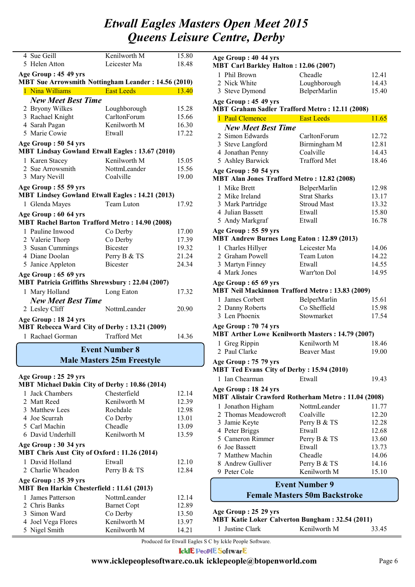| 4 Sue Geill                                                                    | Kenilworth M                      | 15.80          |
|--------------------------------------------------------------------------------|-----------------------------------|----------------|
| 5 Helen Atton                                                                  | Leicester Ma                      | 18.48          |
| Age Group: 45 49 yrs                                                           |                                   |                |
| <b>MBT Sue Arrowsmith Nottingham Leander: 14.56 (2010)</b>                     |                                   |                |
| 1 Nina Williams                                                                | <b>East Leeds</b>                 | 13.40          |
|                                                                                |                                   |                |
| <b>New Meet Best Time</b>                                                      |                                   |                |
| 2 Bryony Wilkes                                                                | Loughborough                      | 15.28          |
| 3 Rachael Knight                                                               | CarltonForum<br>Kenilworth M      | 15.66<br>16.30 |
| 4 Sarah Pagan<br>5 Marie Cowie                                                 | Etwall                            | 17.22          |
|                                                                                |                                   |                |
| Age Group: 50 54 yrs<br><b>MBT Lindsay Gowland Etwall Eagles: 13.67 (2010)</b> |                                   |                |
| 1 Karen Stacey                                                                 | Kenilworth M                      | 15.05          |
| 2 Sue Arrowsmith                                                               | NottmLeander                      | 15.56          |
| 3 Mary Nevill                                                                  | Coalville                         | 19.00          |
|                                                                                |                                   |                |
| Age Group: 55 59 yrs<br><b>MBT Lindsey Gowland Etwall Eagles: 14.21 (2013)</b> |                                   |                |
| 1 Glenda Mayes                                                                 | Team Luton                        | 17.92          |
| Age Group: 60 64 yrs                                                           |                                   |                |
| <b>MBT Rachel Barton Trafford Metro: 14.90 (2008)</b>                          |                                   |                |
| 1 Pauline Inwood                                                               | Co Derby                          | 17.00          |
| 2 Valerie Thorp                                                                | Co Derby                          | 17.39          |
| 3 Susan Cummings                                                               | <b>Bicester</b>                   | 19.32          |
| 4 Diane Doolan                                                                 | Perry B & TS                      | 21.24          |
| 5 Janice Appleton                                                              | <b>Bicester</b>                   | 24.34          |
|                                                                                |                                   |                |
| Age Group: 65 69 yrs<br><b>MBT Patricia Griffiths Shrewsbury: 22.04 (2007)</b> |                                   |                |
| 1 Mary Holland                                                                 | Long Eaton                        | 17.32          |
| <b>New Meet Best Time</b>                                                      |                                   |                |
| 2 Lesley Cliff                                                                 | NottmLeander                      | 20.90          |
| Age Group: 18 24 yrs                                                           |                                   |                |
| MBT Rebecca Ward City of Derby: 13.21 (2009)                                   |                                   |                |
| 1 Rachael Gorman                                                               | <b>Trafford Met</b>               | 14.36          |
|                                                                                | <b>Event Number 8</b>             |                |
|                                                                                | <b>Male Masters 25m Freestyle</b> |                |
|                                                                                |                                   |                |
| Age Group: 25 29 yrs                                                           |                                   |                |
| <b>MBT Michael Dakin City of Derby: 10.86 (2014)</b>                           | Chesterfield                      |                |
| 1 Jack Chambers                                                                |                                   | 12.14          |
| 2 Matt Reed                                                                    | Kenilworth M                      | 12.39          |
| 3 Matthew Lees                                                                 | Rochdale                          | 12.98          |
| 4 Joe Scurrah<br>5 Carl Machin                                                 | Co Derby                          | 13.01          |
|                                                                                | Cheadle                           | 13.09          |
| 6 David Underhill                                                              | Kenilworth M                      | 13.59          |
| Age Group: 30 34 yrs                                                           |                                   |                |
| MBT Chris Aust City of Oxford: 11.26 (2014)                                    |                                   |                |
| 1 David Holland                                                                | Etwall                            | 12.10          |
| 2 Charlie Wheadon                                                              | Perry B & TS                      | 12.84          |
| Age Group: 35 39 yrs<br>MBT Ben Harkin Chesterfield: 11.61 (2013)              |                                   |                |
| 1 James Patterson                                                              | NottmLeander                      | 12.14          |
| 2 Chris Banks                                                                  | <b>Barnet Copt</b>                | 12.89          |
| 3 Simon Ward                                                                   | Co Derby                          | 13.50          |
| 4 Joel Vega Flores                                                             | Kenilworth M                      | 13.97          |
| 5 Nigel Smith                                                                  | Kenilworth M                      | 14.21          |
|                                                                                |                                   |                |

| Age Group: 40 44 yrs<br><b>MBT Carl Barkley Halton: 12.06 (2007)</b> |                                                                                 |                     |       |
|----------------------------------------------------------------------|---------------------------------------------------------------------------------|---------------------|-------|
|                                                                      | 1 Phil Brown                                                                    | Cheadle             | 12.41 |
|                                                                      | 2 Nick White                                                                    | Loughborough        | 14.43 |
|                                                                      | 3 Steve Dymond                                                                  | BelperMarlin        | 15.40 |
|                                                                      | Age Group: 45 49 yrs                                                            |                     |       |
|                                                                      | MBT Graham Sadler Trafford Metro: 12.11 (2008)                                  |                     |       |
|                                                                      | 1 Paul Clemence                                                                 | <b>East Leeds</b>   | 11.65 |
|                                                                      | <b>New Meet Best Time</b>                                                       |                     |       |
|                                                                      | 2 Simon Edwards                                                                 | CarltonForum        | 12.72 |
|                                                                      | 3 Steve Langford                                                                | Birmingham M        | 12.81 |
|                                                                      | 4 Jonathan Penny                                                                | Coalville           | 14.43 |
|                                                                      | 5 Ashley Barwick                                                                | <b>Trafford Met</b> | 18.46 |
|                                                                      | Age Group: 50 54 yrs                                                            |                     |       |
|                                                                      | <b>MBT Alan Jones Trafford Metro: 12.82 (2008)</b>                              |                     |       |
|                                                                      | 1 Mike Brett                                                                    | BelperMarlin        | 12.98 |
|                                                                      | 2 Mike Ireland                                                                  | <b>Strat Sharks</b> | 13.17 |
|                                                                      | 3 Mark Partridge                                                                | <b>Stroud Mast</b>  | 13.32 |
|                                                                      | 4 Julian Bassett                                                                | Etwall              | 15.80 |
|                                                                      | 5 Andy Markgraf                                                                 | Etwall              | 16.78 |
|                                                                      | Age Group: 55 59 yrs                                                            |                     |       |
|                                                                      | <b>MBT Andrew Burnes Long Eaton: 12.89 (2013)</b>                               |                     |       |
|                                                                      | 1 Charles Hillyer                                                               | Leicester Ma        | 14.06 |
|                                                                      | 2 Graham Powell                                                                 | Team Luton          | 14.22 |
|                                                                      | 3 Martyn Finney                                                                 | Etwall              | 14.55 |
|                                                                      | 4 Mark Jones                                                                    | Warr'ton Dol        | 14.95 |
|                                                                      | Age Group: 65 69 yrs<br><b>MBT Neil Mackinnon Trafford Metro: 13.83 (2009)</b>  |                     |       |
|                                                                      | 1 James Corbett                                                                 | BelperMarlin        | 15.61 |
|                                                                      | 2 Danny Roberts                                                                 | Co Sheffield        | 15.98 |
|                                                                      | 3 Len Phoenix                                                                   | Stowmarket          | 17.54 |
|                                                                      | Age Group: 70 74 yrs<br><b>MBT Arther Lowe Kenilworth Masters: 14.79 (2007)</b> |                     |       |
|                                                                      | 1 Greg Rippin                                                                   | Kenilworth M        | 18.46 |
|                                                                      | 2 Paul Clarke                                                                   | <b>Beaver Mast</b>  | 19.00 |
|                                                                      | Age Group: 75 79 yrs<br><b>MBT Ted Evans City of Derby: 15.94 (2010)</b>        |                     |       |
|                                                                      | 1 Ian Chearman                                                                  | Etwall              | 19.43 |
|                                                                      | Age Group: 18 24 yrs                                                            |                     |       |
|                                                                      | MBT Alistair Crawford Rotherham Metro: 11.04 (2008)                             |                     |       |
|                                                                      | 1 Jonathon Higham                                                               | NottmLeander        | 11.77 |
|                                                                      | 2 Thomas Meadowcroft                                                            | Coalville           | 12.20 |
|                                                                      | 3 Jamie Keyte                                                                   | Perry B & TS        | 12.28 |
|                                                                      | 4 Peter Briggs                                                                  | Etwall              | 12.68 |
|                                                                      | 5 Cameron Rimmer                                                                | Perry B & TS        | 13.60 |
|                                                                      | 6 Joe Bassett                                                                   | Etwall              | 13.73 |
|                                                                      | 7 Matthew Machin                                                                | Cheadle             | 14.06 |
|                                                                      | 8 Andrew Gulliver                                                               | Perry B & TS        | 14.16 |
|                                                                      | 9 Peter Cole                                                                    | Kenilworth M        | 15.10 |
| <b>Event Number 9</b>                                                |                                                                                 |                     |       |
| <b>Female Masters 50m Backstroke</b>                                 |                                                                                 |                     |       |

**Age Group : 25 29 yrs**

|                 | MBT Katie Loker Calverton Bungham: 32.54 (2011) |       |
|-----------------|-------------------------------------------------|-------|
| 1 Justine Clark | Kenilworth M                                    | 33.45 |

Produced for Etwall Eagles S C by Ickle People Software.

**IcklE PeoplE SoftwarE**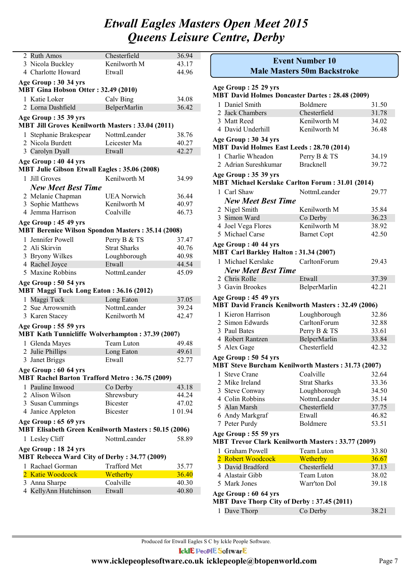| 2 Ruth Amos                                                                      | Chesterfield           | 36.94   |
|----------------------------------------------------------------------------------|------------------------|---------|
| 3 Nicola Buckley                                                                 | Kenilworth M           | 43.17   |
| 4 Charlotte Howard                                                               | Etwall                 | 44.96   |
|                                                                                  |                        |         |
| Age Group: 30 34 yrs<br>MBT Gina Hobson Otter: 32.49 (2010)                      |                        |         |
| 1 Katie Loker                                                                    | Calv Bing              | 34.08   |
| 2 Lorna Dashfield                                                                | BelperMarlin           | 36.42   |
| Age Group: 35 39 yrs                                                             |                        |         |
| <b>MBT Jill Groves Kenilworth Masters: 33.04 (2011)</b>                          |                        |         |
| 1 Stephanie Brakespear                                                           | NottmLeander           | 38.76   |
| 2 Nicola Burdett                                                                 | Leicester Ma           | 40.27   |
| 3 Carolyn Dyall                                                                  | Etwall                 | 42.27   |
| Age Group: 40 44 yrs<br><b>MBT Julie Gibson Etwall Eagles: 35.06 (2008)</b>      |                        |         |
| 1 Jill Groves                                                                    | Kenilworth M           | 34.99   |
|                                                                                  |                        |         |
| <b>New Meet Best Time</b>                                                        |                        |         |
| 2 Melanie Chapman                                                                | <b>UEA</b> Norwich     | 36.44   |
| 3 Sophie Matthews                                                                | Kenilworth M           | 40.97   |
| 4 Jemma Harrison                                                                 | Coalville              | 46.73   |
| Age Group: 45 49 yrs<br><b>MBT Berenice Wilson Spondon Masters: 35.14 (2008)</b> |                        |         |
| 1 Jennifer Powell                                                                | Perry B & TS           | 37.47   |
| 2 Ali Skirvin                                                                    | <b>Strat Sharks</b>    | 40.76   |
|                                                                                  |                        | 40.98   |
| 3 Bryony Wilkes                                                                  | Loughborough<br>Etwall |         |
| 4 Rachel Joyce<br>5 Maxine Robbins                                               |                        | 44.54   |
|                                                                                  | NottmLeander           | 45.09   |
| Age Group: 50 54 yrs<br>MBT Maggi Tuck Long Eaton: 36.16 (2012)                  |                        |         |
| 1 Maggi Tuck                                                                     | Long Eaton             | 37.05   |
| 2 Sue Arrowsmith                                                                 | NottmLeander           | 39.24   |
| 3 Karen Stacey                                                                   | Kenilworth M           | 42.47   |
| Age Group: 55 59 yrs                                                             |                        |         |
| <b>MBT Kath Tunnicliffe Wolverhampton: 37.39 (2007)</b>                          |                        |         |
| 1 Glenda Mayes                                                                   | Team Luton             | 49.48   |
| 2 Julie Phillips                                                                 | Long Eaton             | 49.61   |
| 3 Janet Briggs                                                                   | Etwall                 | 52.77   |
| Age Group: 60 64 yrs<br><b>MBT Rachel Barton Trafford Metro: 36.75 (2009)</b>    |                        |         |
| 1 Pauline Inwood                                                                 | Co Derby               | 43.18   |
| 2 Alison Wilson                                                                  | Shrewsbury             | 44.24   |
| 3 Susan Cummings                                                                 | <b>Bicester</b>        | 47.02   |
| 4 Janice Appleton                                                                | <b>Bicester</b>        | 1 01.94 |
|                                                                                  |                        |         |
| Age Group: 65 69 yrs<br>MBT Elisabeth Green Kenilworth Masters: 50.15 (2006)     |                        |         |
| 1 Lesley Cliff                                                                   | NottmLeander           | 58.89   |
| Age Group: 18 24 yrs<br>MBT Rebecca Ward City of Derby: 34.77 (2009)             |                        |         |
| 1 Rachael Gorman                                                                 | <b>Trafford Met</b>    | 35.77   |
| 2 Katie Woodcock                                                                 | Wetherby               | 36.40   |
| 3 Anna Sharpe                                                                    | Coalville              | 40.30   |
| 4 KellyAnn Hutchinson                                                            | Etwall                 | 40.80   |
|                                                                                  |                        |         |

|                                                                                   | <b>Event Number 10</b><br><b>Male Masters 50m Backstroke</b> |       |  |
|-----------------------------------------------------------------------------------|--------------------------------------------------------------|-------|--|
|                                                                                   |                                                              |       |  |
| Age Group: 25 29 yrs                                                              |                                                              |       |  |
| <b>MBT David Holmes Doncaster Dartes: 28.48 (2009)</b>                            |                                                              |       |  |
| 1 Daniel Smith                                                                    | Boldmere                                                     | 31.50 |  |
| 2 Jack Chambers                                                                   | Chesterfield                                                 | 31.78 |  |
| 3 Matt Reed                                                                       | Kenilworth M                                                 | 34.02 |  |
| 4 David Underhill                                                                 | Kenilworth M                                                 | 36.48 |  |
| Age Group: 30 34 yrs<br><b>MBT David Holmes East Leeds: 28.70 (2014)</b>          |                                                              |       |  |
| 1 Charlie Wheadon                                                                 | Perry B & TS                                                 | 34.19 |  |
| 2 Adrian Sureshkumar                                                              | <b>Bracknell</b>                                             | 39.72 |  |
|                                                                                   |                                                              |       |  |
| Age Group: 35 39 yrs<br><b>MBT Michael Kerslake Carlton Forum: 31.01 (2014)</b>   |                                                              |       |  |
| 1 Carl Shaw                                                                       | NottmLeander                                                 | 29.77 |  |
| <b>New Meet Best Time</b>                                                         |                                                              |       |  |
| 2 Nigel Smith                                                                     | Kenilworth M                                                 | 35.84 |  |
| 3 Simon Ward                                                                      | Co Derby                                                     | 36.23 |  |
| 4 Joel Vega Flores                                                                | Kenilworth M                                                 | 38.92 |  |
| 5 Michael Carse                                                                   | <b>Barnet Copt</b>                                           | 42.50 |  |
| Age Group: 40 44 yrs                                                              |                                                              |       |  |
| <b>MBT Carl Barkley Halton: 31.34 (2007)</b>                                      |                                                              |       |  |
| 1 Michael Kerslake                                                                | CarltonForum                                                 | 29.43 |  |
| <b>New Meet Best Time</b>                                                         |                                                              |       |  |
| 2 Chris Rolle                                                                     | Etwall                                                       | 37.39 |  |
| 3 Gavin Brookes                                                                   | BelperMarlin                                                 | 42.21 |  |
| Age Group: 45 49 yrs                                                              |                                                              |       |  |
| MBT David Francis Kenilworth Masters: 32.49 (2006)                                |                                                              |       |  |
| 1 Kieron Harrison                                                                 | Loughborough                                                 | 32.86 |  |
| 2 Simon Edwards                                                                   | CarltonForum                                                 | 32.88 |  |
| 3 Paul Bates                                                                      | Perry B & TS                                                 | 33.61 |  |
| 4 Robert Rantzen                                                                  | BelperMarlin                                                 | 33.84 |  |
| 5 Alex Gage                                                                       | Chesterfield                                                 | 42.32 |  |
|                                                                                   |                                                              |       |  |
| Age Group: 50 54 yrs<br><b>MBT Steve Burcham Kenilworth Masters: 31.73 (2007)</b> |                                                              |       |  |
| 1 Steve Crane                                                                     | Coalville                                                    | 32.64 |  |
| 2 Mike Ireland                                                                    | <b>Strat Sharks</b>                                          | 33.36 |  |
| 3 Steve Conway                                                                    | Loughborough                                                 | 34.50 |  |
| 4 Colin Robbins                                                                   | NottmLeander                                                 | 35.14 |  |
| 5 Alan Marsh                                                                      | Chesterfield                                                 | 37.75 |  |
| 6 Andy Markgraf                                                                   | Etwall                                                       | 46.82 |  |
| 7 Peter Purdy                                                                     | Boldmere                                                     | 53.51 |  |
| Age Group: 55 59 yrs                                                              |                                                              |       |  |
| <b>MBT Trevor Clark Kenilworth Masters: 33.77 (2009)</b>                          |                                                              |       |  |
| 1 Graham Powell                                                                   | Team Luton                                                   | 33.80 |  |
| 2 Robert Woodcock                                                                 | Wetherby                                                     | 36.67 |  |
| 3 David Bradford                                                                  | Chesterfield                                                 | 37.13 |  |
| 4 Alastair Gibb                                                                   | Team Luton                                                   | 38.02 |  |
| 5 Mark Jones                                                                      | Warr'ton Dol                                                 | 39.18 |  |
| Age Group: 60 64 yrs                                                              |                                                              |       |  |

### **MBT Dave Thorp City of Derby : 37.45 (2011)**

| 1 Dave Thorp | Co Derby | 38.21 |
|--------------|----------|-------|
|--------------|----------|-------|

Produced for Etwall Eagles S C by Ickle People Software.

**IcklE PeoplE SoftwarE**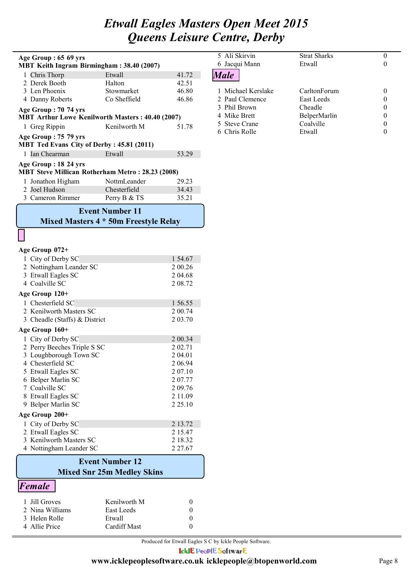| Age Group: 65 69 yrs                                                            |                                       |                    | 5 Ali Skirvin<br>6 Jacqui Mann | <b>Strat Sharks</b><br>Etwall | 0<br>0                |
|---------------------------------------------------------------------------------|---------------------------------------|--------------------|--------------------------------|-------------------------------|-----------------------|
| MBT Keith Ingram Birmingham: 38.40 (2007)                                       |                                       |                    |                                |                               |                       |
| 1 Chris Thorp                                                                   | Etwall                                | 41.72              | <b>Male</b>                    |                               |                       |
| 2 Derek Booth                                                                   | Halton                                | 42.51              |                                |                               |                       |
| 3 Len Phoenix                                                                   | Stowmarket                            | 46.80              | 1 Michael Kerslake             | CarltonForum                  | 0                     |
| 4 Danny Roberts                                                                 | Co Sheffield                          | 46.86              | 2 Paul Clemence                | <b>East Leeds</b>             | 0                     |
| Age Group: 70 74 yrs                                                            |                                       |                    | 3 Phil Brown<br>4 Mike Brett   | Cheadle                       | 0                     |
| <b>MBT Arthur Lowe Kenilworth Masters: 40.40 (2007)</b>                         |                                       |                    | 5 Steve Crane                  | BelperMarlin<br>Coalville     | 0<br>$\boldsymbol{0}$ |
| 1 Greg Rippin                                                                   | Kenilworth M                          | 51.78              | 6 Chris Rolle                  | Etwall                        | $\boldsymbol{0}$      |
| Age Group: 75 79 yrs<br>MBT Ted Evans City of Derby: 45.81 (2011)               |                                       |                    |                                |                               |                       |
| 1 Ian Chearman                                                                  | Etwall                                | 53.29              |                                |                               |                       |
| Age Group: 18 24 yrs<br><b>MBT Steve Millican Rotherham Metro: 28.23 (2008)</b> |                                       |                    |                                |                               |                       |
| 1 Jonathon Higham                                                               | NottmLeander                          | 29.23              |                                |                               |                       |
| 2 Joel Hudson                                                                   | Chesterfield                          | 34.43              |                                |                               |                       |
| 3 Cameron Rimmer                                                                | Perry B & TS                          | 35.21              |                                |                               |                       |
|                                                                                 |                                       |                    |                                |                               |                       |
|                                                                                 | <b>Event Number 11</b>                |                    |                                |                               |                       |
|                                                                                 | Mixed Masters 4 * 50m Freestyle Relay |                    |                                |                               |                       |
|                                                                                 |                                       |                    |                                |                               |                       |
| Age Group 072+                                                                  |                                       |                    |                                |                               |                       |
| 1 City of Derby SC                                                              |                                       | 1 54.67            |                                |                               |                       |
| 2 Nottingham Leander SC                                                         |                                       | 2 00.26            |                                |                               |                       |
| 3 Etwall Eagles SC                                                              |                                       | 2 04.68            |                                |                               |                       |
| 4 Coalville SC                                                                  |                                       | 2 08.72            |                                |                               |                       |
| Age Group 120+                                                                  |                                       |                    |                                |                               |                       |
| 1 Chesterfield SC                                                               |                                       | 1 56.55            |                                |                               |                       |
| 2 Kenilworth Masters SC                                                         |                                       | 2 00.74            |                                |                               |                       |
| 3 Cheadle (Staffs) & District                                                   |                                       | 2 03.70            |                                |                               |                       |
| Age Group 160+                                                                  |                                       |                    |                                |                               |                       |
| 1 City of Derby SC                                                              |                                       |                    |                                |                               |                       |
| 2 Perry Beeches Triple S SC                                                     |                                       | 2 00.34<br>2 02.71 |                                |                               |                       |
| 3 Loughborough Town SC                                                          |                                       | 2 04.01            |                                |                               |                       |
| 4 Chesterfield SC                                                               |                                       | 2 06.94            |                                |                               |                       |
| 5 Etwall Eagles SC                                                              |                                       | 207.10             |                                |                               |                       |
| 6 Belper Marlin SC                                                              |                                       | 207.77             |                                |                               |                       |
| 7 Coalville SC                                                                  |                                       | 2 09.76            |                                |                               |                       |
| 8 Etwall Eagles SC                                                              |                                       | 2 11.09            |                                |                               |                       |
| 9 Belper Marlin SC                                                              |                                       | 2 2 5 . 10         |                                |                               |                       |
| Age Group 200+                                                                  |                                       |                    |                                |                               |                       |
| 1 City of Derby SC                                                              |                                       | 2 13.72            |                                |                               |                       |
| 2 Etwall Eagles SC                                                              |                                       | 2 15.47            |                                |                               |                       |
| 3 Kenilworth Masters SC                                                         |                                       | 2 18.32            |                                |                               |                       |
| 4 Nottingham Leander SC                                                         |                                       | 2 2 7 . 6 7        |                                |                               |                       |
|                                                                                 | <b>Event Number 12</b>                |                    |                                |                               |                       |
|                                                                                 | <b>Mixed Snr 25m Medley Skins</b>     |                    |                                |                               |                       |
| Female                                                                          |                                       |                    |                                |                               |                       |
| Jill Groves                                                                     | Kenilworth M                          | $\boldsymbol{0}$   |                                |                               |                       |
| 2 Nina Williams                                                                 | East Leeds                            | $\boldsymbol{0}$   |                                |                               |                       |
| 3 Helen Rolle                                                                   | Etwall                                | $\boldsymbol{0}$   |                                |                               |                       |
|                                                                                 |                                       |                    |                                |                               |                       |

4 Allie Price Cardiff Mast 0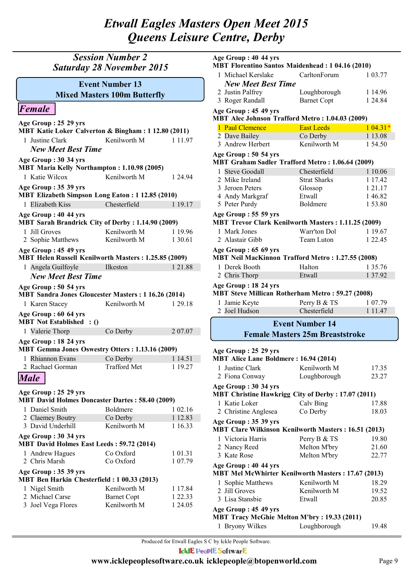### *Session Number 2 Saturday 28 November 2015*

### **Mixed Masters 100m Butterfly Event Number 13**

### *Female*

| Age Group: 25 29 yrs<br>MBT Katie Loker Calverton & Bingham: 1 12.80 (2011)        |                     |             |  |
|------------------------------------------------------------------------------------|---------------------|-------------|--|
| 1 Justine Clark                                                                    | Kenilworth M        | 1 1 1 . 9 7 |  |
| <b>New Meet Best Time</b>                                                          |                     |             |  |
| Age Group: 30 34 yrs                                                               |                     |             |  |
| MBT Maria Kelly Northampton: 1.10.98 (2005)                                        |                     |             |  |
| 1 Katie Wilcox                                                                     | Kenilworth M        | 1 24 94     |  |
| Age Group: 35 39 yrs<br><b>MBT Elizabeth Simpson Long Eaton: 1 12.85 (2010)</b>    |                     |             |  |
| 1 Elizabeth Kiss                                                                   | Chesterfield        | 1 19.17     |  |
| Age Group: 40 44 yrs<br><b>MBT Sarah Brandrick City of Derby: 1.14.90 (2009)</b>   |                     |             |  |
| 1 Jill Groves                                                                      | Kenilworth M        | 1 19.96     |  |
| 2 Sophie Matthews                                                                  | Kenilworth M        | 1 30.61     |  |
| Age Group: 45 49 yrs<br>MBT Helen Russell Kenilworth Masters: 1.25.85 (2009)       |                     |             |  |
| 1 Angela Guilfoyle                                                                 | Ilkeston            | 1 21.88     |  |
| <b>New Meet Best Time</b>                                                          |                     |             |  |
| Age Group: 50 54 yrs<br><b>MBT Sandra Jones Gloucester Masters: 1 16.26 (2014)</b> |                     |             |  |
| 1 Karen Stacey                                                                     | Kenilworth M        | 1 29.18     |  |
| Age Group: 60 64 yrs<br><b>MBT</b> Not Established : ()                            |                     |             |  |
| 1 Valerie Thorp                                                                    | Co Derby            | 207.07      |  |
| Age Group: 18 24 yrs<br>MBT Gemma Jones Oswestry Otters: 1.13.16 (2009)            |                     |             |  |
| 1 Rhiannon Evans                                                                   | Co Derby            | 1 14.51     |  |
| 2 Rachael Gorman                                                                   | <b>Trafford Met</b> | 1 19.27     |  |
| <b>Male</b>                                                                        |                     |             |  |
| Age Group: 25 29 yrs<br><b>MBT David Holmes Doncaster Dartes: 58.40 (2009)</b>     |                     |             |  |

| 1 Daniel Smith                                                           | <b>Boldmere</b>    | 1 02.16     |
|--------------------------------------------------------------------------|--------------------|-------------|
| 2 Claemey Boutry                                                         | Co Derby           | 1 12.83     |
| 3 David Underhill                                                        | Kenilworth M       | 1 16.33     |
| Age Group: 30 34 yrs<br><b>MBT David Holmes East Leeds: 59.72 (2014)</b> |                    |             |
|                                                                          |                    |             |
| 1 Andrew Hagues                                                          | Co Oxford          | 1 0 1 . 3 1 |
| 2 Chris Marsh                                                            | Co Oxford          | 1 07.79     |
| Age Group: 35 39 yrs                                                     |                    |             |
| MBT Ben Harkin Chesterfield: 1 00.33 (2013)                              |                    |             |
| 1 Nigel Smith                                                            | Kenilworth M       | 1 1 7 8 4   |
| 2 Michael Carse                                                          | <b>Barnet Copt</b> | 1 22.33     |
| 3 Joel Vega Flores                                                       | Kenilworth M       | 1 24.05     |

| Age Group: 40 44 yrs<br>MBT Florentino Santos Maidenhead: 1 04.16 (2010)            |                                        |             |  |
|-------------------------------------------------------------------------------------|----------------------------------------|-------------|--|
| 1 Michael Kerslake                                                                  | CarltonForum                           | 1 03.77     |  |
| <b>New Meet Best Time</b>                                                           |                                        |             |  |
| 2 Justin Palfrey                                                                    |                                        | 1 14.96     |  |
| 3 Roger Randall                                                                     | Loughborough<br><b>Barnet Copt</b>     | 1 24.84     |  |
|                                                                                     |                                        |             |  |
| Age Group: 45 49 yrs<br>MBT Alec Johnson Trafford Metro: 1.04.03 (2009)             |                                        |             |  |
| 1 Paul Clemence                                                                     | <b>East Leeds</b>                      | $104.31*$   |  |
| 2 Dave Bailey                                                                       | Co Derby                               | 1 13.08     |  |
| 3 Andrew Herbert                                                                    | Kenilworth M                           | 1 54.50     |  |
| Age Group: 50 54 yrs                                                                |                                        |             |  |
| MBT Graham Sadler Trafford Metro: 1.06.64 (2009)                                    |                                        |             |  |
| 1 Steve Goodall                                                                     | Chesterfield                           | 1 10.06     |  |
| 2 Mike Ireland                                                                      | <b>Strat Sharks</b>                    | 1 17.42     |  |
| 3 Jeroen Peters                                                                     | Glossop                                | 1 21.17     |  |
| 4 Andy Markgraf                                                                     | Etwall                                 | 1 46.82     |  |
| 5 Peter Purdy                                                                       | Boldmere                               | 153.80      |  |
| Age Group: 55 59 yrs<br>MBT Trevor Clark Kenilworth Masters: 1.11.25 (2009)         |                                        |             |  |
| 1 Mark Jones                                                                        | Warr'ton Dol                           | 1 19.67     |  |
| 2 Alastair Gibb                                                                     | Team Luton                             | 1 22.45     |  |
| Age Group: 65 69 yrs<br>MBT Neil MacKinnon Trafford Metro: 1.27.55 (2008)           |                                        |             |  |
| 1 Derek Booth                                                                       | Halton                                 | 1 35.76     |  |
| 2 Chris Thorp                                                                       | Etwall                                 | 1 37.92     |  |
| Age Group: 18 24 yrs                                                                |                                        |             |  |
| <b>MBT Steve Millican Rotherham Metro: 59.27 (2008)</b>                             |                                        |             |  |
| 1 Jamie Keyte                                                                       | Perry B & TS                           | 1 07.79     |  |
| 2 Joel Hudson                                                                       | Chesterfield                           | 1 1 1 . 4 7 |  |
|                                                                                     | <b>Event Number 14</b>                 |             |  |
|                                                                                     |                                        |             |  |
|                                                                                     | <b>Female Masters 25m Breaststroke</b> |             |  |
| Age Group: 25 29 yrs                                                                |                                        |             |  |
| <b>MBT Alice Lane Boldmere: 16.94 (2014)</b>                                        |                                        |             |  |
| 1 Justine Clark Kenilworth M                                                        |                                        | 17.35       |  |
| 2 Fiona Conway                                                                      | Loughborough                           | 23.27       |  |
| Age Group: 30 34 yrs<br><b>MBT Christine Hawkrigg City of Derby: 17.07 (2011)</b>   |                                        |             |  |
| 1 Katie Loker                                                                       | Calv Bing                              | 17.88       |  |
| 2 Christine Anglesea                                                                | Co Derby                               | 18.03       |  |
| Age Group: 35 39 yrs<br><b>MBT Clare Wilkinson Kenilworth Masters: 16.51 (2013)</b> |                                        |             |  |

1 Victoria Harris Perry B & TS 19.80

2 Nancy Reed Melton M'bry 21.60 3 Kate Rose Melton M'bry 22.77

1 Sophie Matthews Kenilworth M 18.29 **MBT Mel McWhirter Kenilworth Masters : 17.67 (2013)**

2 Jill Groves Kenilworth M 19.52 3 Lisa Stansbie Etwall 20.85

1 Bryony Wilkes Loughborough 19.48

**MBT Tracy McGhie Melton M'bry : 19.33 (2011)**

Produced for Etwall Eagles S C by Ickle People Software.

**Age Group : 40 44 yrs**

**Age Group : 45 49 yrs**

IcklE PeoplE SoftwarE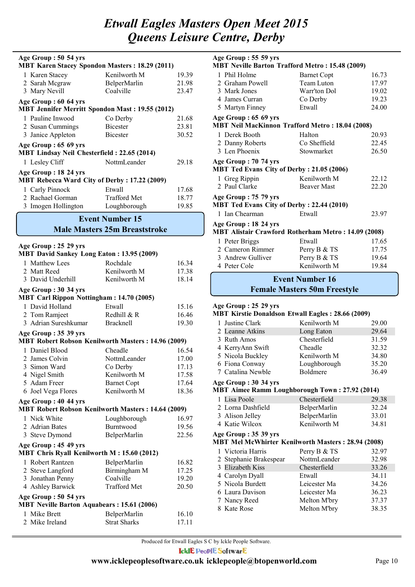| Age Group: 50 54 yrs<br><b>MBT Karen Stacey Spondon Masters: 18.29 (2011)</b> |                     |       |
|-------------------------------------------------------------------------------|---------------------|-------|
| 1 Karen Stacey                                                                | Kenilworth M        | 19.39 |
| 2 Sarah Megraw                                                                | <b>BelperMarlin</b> | 21.98 |
| 3 Mary Nevill                                                                 | Coalville           | 23.47 |
| Age Group: 60 64 yrs                                                          |                     |       |
| <b>MBT Jennifer Merritt Spondon Mast: 19.55 (2012)</b>                        |                     |       |
| 1 Pauline Inwood                                                              | Co Derby            | 21.68 |
| 2 Susan Cummings                                                              | <b>Bicester</b>     | 23.81 |
| 3 Janice Appleton                                                             | <b>Bicester</b>     | 30.52 |
| Age Group: 65 69 yrs<br><b>MBT Lindsay Neil Chesterfield: 22.65 (2014)</b>    |                     |       |
| 1 Lesley Cliff                                                                | NottmLeander        | 29.18 |
| Age Group : 18 24 yrs<br><b>MBT Rebecca Ward City of Derby: 17.22 (2009)</b>  |                     |       |
| 1 Carly Pinnock                                                               | Etwall              | 17.68 |
| 2 Rachael Gorman                                                              | <b>Trafford Met</b> | 18.77 |
| 3 Imogen Hollington                                                           | Loughborough        | 19.85 |
| <b>Event Number 15</b><br><b>Male Masters 25m Breaststroke</b>                |                     |       |

#### **Age Group : 25 29 yrs**

| <b>MBT David Sankey Long Eaton: 13.95 (2009)</b>          |                     |       |
|-----------------------------------------------------------|---------------------|-------|
| 1 Matthew Lees                                            | Rochdale            | 16.34 |
| 2 Matt Reed                                               | Kenilworth M        | 17.38 |
| 3 David Underhill                                         | Kenilworth M        | 18.14 |
| Age Group: 30 34 yrs                                      |                     |       |
| <b>MBT Carl Rippon Nottingham: 14.70 (2005)</b>           |                     |       |
| 1 David Holland                                           | Etwall              | 15.16 |
| 2 Tom Ramjeet                                             | Redhill & R         | 16.46 |
| 3 Adrian Sureshkumar                                      | <b>Bracknell</b>    | 19.30 |
| Age Group: 35 39 yrs                                      |                     |       |
| <b>MBT Robert Robson Kenilworth Masters: 14.96 (2009)</b> |                     |       |
| 1 Daniel Blood                                            | Cheadle             | 16.54 |
| 2 James Colvin                                            | NottmLeander        | 17.00 |
| 3 Simon Ward                                              | Co Derby            | 17.13 |
| 4 Nigel Smith                                             | Kenilworth M        | 17.58 |
| 5 Adam Freer                                              | <b>Barnet Copt</b>  | 17.64 |
| 6 Joel Vega Flores                                        | Kenilworth M        | 18.36 |
| Age Group: 40 44 yrs                                      |                     |       |
| <b>MBT Robert Robson Kenilworth Masters: 14.64 (2009)</b> |                     |       |
| 1 Nick White                                              | Loughborough        | 16.97 |
| 2 Adrian Bates                                            | Burntwood           | 19.56 |
| 3 Steve Dymond                                            | BelperMarlin        | 22.56 |
| Age Group: 45 49 yrs                                      |                     |       |
| MBT Chris Ryall Kenilworth M: 15.60 (2012)                |                     |       |
| 1 Robert Rantzen                                          | BelperMarlin        | 16.82 |
| 2 Steve Langford                                          | Birmingham M        | 17.25 |
| 3 Jonathan Penny                                          | Coalville           | 19.20 |
| 4 Ashley Barwick                                          | <b>Trafford Met</b> | 20.50 |
| Age Group: 50 54 yrs                                      |                     |       |
| <b>MBT Neville Barton Aquabears: 15.61 (2006)</b>         |                     |       |
| 1 Mike Brett                                              | BelperMarlin        | 16.10 |
| 2 Mike Ireland                                            | <b>Strat Sharks</b> | 17.11 |
|                                                           |                     |       |

| Age Group: 55 59 yrs<br><b>MBT Neville Barton Trafford Metro: 15.48 (2009)</b> |                    |       |
|--------------------------------------------------------------------------------|--------------------|-------|
|                                                                                |                    |       |
| 1 Phil Holme                                                                   | <b>Barnet Copt</b> | 16.73 |
| 2 Graham Powell                                                                | Team Luton         | 17.97 |
| 3 Mark Jones                                                                   | Warr'ton Dol       | 19.02 |
| 4 James Curran                                                                 | Co Derby           | 19.23 |
| 5 Martyn Finney                                                                | Etwall             | 24.00 |
| Age Group: 65 69 yrs                                                           |                    |       |
| <b>MBT Neil MacKinnon Trafford Metro: 18.04 (2008)</b>                         |                    |       |
| 1 Derek Booth                                                                  | Halton             | 20.93 |
| 2 Danny Roberts                                                                | Co Sheffield       | 22.45 |
| 3 Len Phoenix                                                                  | Stowmarket         | 26.50 |
| Age Group: 70 74 yrs                                                           |                    |       |
| <b>MBT Ted Evans City of Derby: 21.05 (2006)</b>                               |                    |       |
| 1 Greg Rippin                                                                  | Kenilworth M       | 22.12 |
| 2 Paul Clarke                                                                  | <b>Beaver Mast</b> | 22.20 |
| Age Group: 75 79 yrs                                                           |                    |       |
| MBT Ted Evans City of Derby: 22.44 (2010)                                      |                    |       |
| 1 Ian Chearman                                                                 | Etwall             | 23.97 |
| Age Group: 18 24 yrs                                                           |                    |       |
| <b>MBT Alistair Crawford Rotherham Metro: 14.09 (2008)</b>                     |                    |       |
| 1 Peter Briggs                                                                 | Etwall             | 17.65 |
| 2 Cameron Rimmer                                                               | Perry B & TS       | 17.75 |
| 3 Andrew Gulliver                                                              | Perry B & TS       | 19.64 |
| 4 Peter Cole                                                                   | Kenilworth M       | 19.84 |
|                                                                                |                    |       |

## **Event Number 16**

### **Female Masters 50m Freestyle**

### **Age Group : 25 29 yrs**

#### **MBT Kirstie Donaldson Etwall Eagles : 28.66 (2009)**

| 1 Justine Clark   | Kenilworth M    | 29.00 |
|-------------------|-----------------|-------|
| 2 Leanne Atkins   | Long Eaton      | 29.64 |
| 3 Ruth Amos       | Chesterfield    | 31.59 |
| 4 KerryAnn Swift  | Cheadle         | 32.32 |
| 5 Nicola Buckley  | Kenilworth M    | 34.80 |
| 6 Fiona Conway    | Loughborough    | 35.20 |
| 7 Catalina Newble | <b>Boldmere</b> | 36.49 |
|                   |                 |       |

### **Age Group : 30 34 yrs**

**MBT Aimee Ramm Loughborough Town : 27.92 (2014)**

| 1 Lisa Poole |                   | Chesterfield        | 29.38 |
|--------------|-------------------|---------------------|-------|
|              | 2 Lorna Dashfield | <b>BelperMarlin</b> | 32.24 |
|              | 3 Alison Jelley   | <b>BelperMarlin</b> | 33.01 |
|              | 4 Katie Wilcox    | Kenilworth M        | 34.81 |

### **MBT Mel McWhirter Kenilworth Masters : 28.94 (2008) Age Group : 35 39 yrs**

| 1 Victoria Harris      | Perry B & TS | 32.97 |
|------------------------|--------------|-------|
| 2 Stephanie Brakespear | NottmLeander | 32.98 |
| 3 Elizabeth Kiss       | Chesterfield | 33.26 |
| 4 Carolyn Dyall        | Etwall       | 34.11 |
| 5 Nicola Burdett       | Leicester Ma | 34.26 |
| 6 Laura Davison        | Leicester Ma | 36.23 |
| 7 Nancy Reed           | Melton M'bry | 37.37 |
| 8 Kate Rose            | Melton M'bry | 38.35 |
|                        |              |       |

Produced for Etwall Eagles S C by Ickle People Software. **IcklE PeoplE SoftwarE**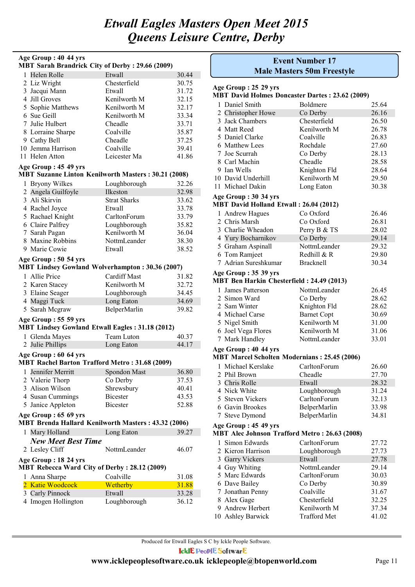| Age Group: 40 44 yrs<br><b>MBT Sarah Brandrick City of Derby: 29.66 (2009)</b> |                                    |                |  |  |
|--------------------------------------------------------------------------------|------------------------------------|----------------|--|--|
| 1 Helen Rolle                                                                  | Etwall                             | 30.44          |  |  |
| 2 Liz Wright                                                                   | Chesterfield                       | 30.75          |  |  |
| 3 Jacqui Mann                                                                  | Etwall                             | 31.72          |  |  |
| 4 Jill Groves                                                                  | Kenilworth M                       | 32.15          |  |  |
| 5 Sophie Matthews                                                              | Kenilworth M                       | 32.17          |  |  |
| 6 Sue Geill                                                                    | Kenilworth M                       | 33.34          |  |  |
| 7 Julie Hulbert                                                                | Cheadle                            | 33.71          |  |  |
| 8 Lorraine Sharpe                                                              | Coalville                          | 35.87          |  |  |
| 9 Cathy Bell                                                                   | Cheadle                            | 37.25          |  |  |
| 10 Jemma Harrison                                                              | Coalville                          | 39.41          |  |  |
| 11 Helen Atton                                                                 | Leicester Ma                       |                |  |  |
| Age Group: 45 49 yrs                                                           |                                    | 41.86          |  |  |
| <b>MBT Suzanne Linton Kenilworth Masters: 30.21 (2008)</b>                     |                                    |                |  |  |
| 1 Bryony Wilkes                                                                | Loughborough                       | 32.26          |  |  |
| 2 Angela Guilfoyle                                                             | Ilkeston                           | 32.98          |  |  |
| 3 Ali Skirvin                                                                  | <b>Strat Sharks</b>                | 33.62          |  |  |
| 4 Rachel Joyce                                                                 | Etwall                             | 33.78          |  |  |
| 5 Rachael Knight                                                               | CarltonForum                       | 33.79          |  |  |
| 6 Claire Palfrey                                                               | Loughborough                       | 35.82          |  |  |
| 7 Sarah Pagan                                                                  | Kenilworth M                       | 36.04          |  |  |
| 8 Maxine Robbins                                                               | NottmLeander                       | 38.30          |  |  |
| 9 Marie Cowie                                                                  | Etwall                             | 38.52          |  |  |
| Age Group: 50 54 yrs                                                           |                                    |                |  |  |
| <b>MBT Lindsey Gowland Wolverhampton: 30.36 (2007)</b>                         |                                    |                |  |  |
| 1 Allie Price                                                                  | <b>Cardiff Mast</b>                | 31.82          |  |  |
| 2 Karen Stacey                                                                 | Kenilworth M                       | 32.72          |  |  |
| 3 Elaine Seager                                                                | Loughborough                       | 34.45          |  |  |
| 4 Maggi Tuck                                                                   | Long Eaton                         | 34.69          |  |  |
| 5 Sarah Mcgraw                                                                 | BelperMarlin                       | 39.82          |  |  |
| Age Group: 55 59 yrs                                                           |                                    |                |  |  |
| <b>MBT Lindsey Gowland Etwall Eagles: 31.18 (2012)</b>                         |                                    |                |  |  |
| 1 Glenda Mayes                                                                 | Team Luton                         | 40.37          |  |  |
| 2 Julie Phillips                                                               | Long Eaton                         | 44.17          |  |  |
| Age Group: 60 64 yrs<br><b>MBT Rachel Barton Trafford Metro: 31.68 (2009)</b>  |                                    |                |  |  |
| 1 Jennifer Merritt                                                             |                                    |                |  |  |
| 2 Valerie Thorp                                                                | Spondon Mast<br>Co Derby           | 36.80<br>37.53 |  |  |
| 3 Alison Wilson                                                                |                                    |                |  |  |
|                                                                                | Shrewsbury                         | 40.41          |  |  |
| 4 Susan Cummings                                                               | <b>Bicester</b><br><b>Bicester</b> | 43.53          |  |  |
| 5 Janice Appleton                                                              |                                    | 52.88          |  |  |
| Age Group: 65 69 yrs<br>MBT Brenda Hallard Kenilworth Masters: 43.32 (2006)    |                                    |                |  |  |
| 1 Mary Holland                                                                 | Long Eaton                         | 39.27          |  |  |
| <b>New Meet Best Time</b>                                                      |                                    |                |  |  |
| 2 Lesley Cliff                                                                 | NottmLeander                       | 46.07          |  |  |
| Age Group: 18 24 yrs                                                           |                                    |                |  |  |
| MBT Rebecca Ward City of Derby: 28.12 (2009)                                   |                                    |                |  |  |
| 1 Anna Sharpe                                                                  | Coalville                          | 31.08          |  |  |
| 2 Katie Woodcock                                                               | Wetherby                           | 31.88          |  |  |
| 3 Carly Pinnock                                                                | Etwall                             | 33.28          |  |  |
| 4 Imogen Hollington                                                            | Loughborough                       | 36.12          |  |  |

|    | <b>Event Number 17</b><br><b>Male Masters 50m Freestyle</b>                  |                    |       |  |
|----|------------------------------------------------------------------------------|--------------------|-------|--|
|    | Age Group : 25 29 yrs                                                        |                    |       |  |
|    | <b>MBT David Holmes Doncaster Dartes: 23.62 (2009)</b>                       |                    |       |  |
|    | 1 Daniel Smith                                                               | Boldmere           | 25.64 |  |
|    | 2 Christopher Howe                                                           | Co Derby           | 26.16 |  |
|    | 3 Jack Chambers                                                              | Chesterfield       | 26.50 |  |
|    | 4 Matt Reed                                                                  | Kenilworth M       | 26.78 |  |
|    | 5 Daniel Clarke                                                              | Coalville          | 26.83 |  |
|    | 6 Matthew Lees                                                               | Rochdale           | 27.60 |  |
|    | 7 Joe Scurrah                                                                | Co Derby           | 28.13 |  |
|    | 8 Carl Machin                                                                | Cheadle            | 28.58 |  |
|    | 9 Ian Wells                                                                  | Knighton Fld       | 28.64 |  |
|    | 10 David Underhill                                                           | Kenilworth M       | 29.50 |  |
|    | 11 Michael Dakin                                                             | Long Eaton         | 30.38 |  |
|    | Age Group: 30 34 yrs                                                         |                    |       |  |
|    | MBT David Holland Etwall: 26.04 (2012)                                       |                    |       |  |
|    | 1 Andrew Hagues                                                              | Co Oxford          | 26.46 |  |
|    | 2 Chris Marsh                                                                | Co Oxford          | 26.81 |  |
|    | 3 Charlie Wheadon                                                            | Perry B & TS       | 28.02 |  |
|    | 4 Yury Bocharnikov                                                           | Co Derby           | 29.14 |  |
|    | 5 Graham Aspinall                                                            | NottmLeander       | 29.32 |  |
|    | 6 Tom Ramjeet                                                                | Redhill & R        | 29.80 |  |
|    | 7 Adrian Sureshkumar                                                         | <b>Bracknell</b>   | 30.34 |  |
|    | Age Group: 35 39 yrs                                                         |                    |       |  |
|    | MBT Ben Harkin Chesterfield: 24.49 (2013)                                    |                    |       |  |
|    | 1 James Patterson                                                            | NottmLeander       | 26.45 |  |
|    | 2 Simon Ward                                                                 | Co Derby           | 28.62 |  |
|    | 2 Sam Winter                                                                 | Knighton Fld       | 28.62 |  |
|    | 4 Michael Carse                                                              | <b>Barnet Copt</b> | 30.69 |  |
|    | 5 Nigel Smith                                                                | Kenilworth M       | 31.00 |  |
|    | 6 Joel Vega Flores                                                           | Kenilworth M       | 31.06 |  |
|    | 7 Mark Handley                                                               | NottmLeander       | 33.01 |  |
|    | Age Group: 40 44 yrs                                                         |                    |       |  |
|    | <b>MBT Marcel Scholten Modernians: 25.45 (2006)</b>                          |                    |       |  |
|    | 1 Michael Kerslake                                                           | CarltonForum       | 26.60 |  |
|    | 2 Phil Brown                                                                 | Cheadle            | 27.70 |  |
|    | 3 Chris Rolle                                                                | Etwall             | 28.32 |  |
|    | 4 Nick White                                                                 | Loughborough       | 31.24 |  |
|    | 5 Steven Vickers                                                             | CarltonForum       | 32.13 |  |
|    | 6 Gavin Brookes                                                              | BelperMarlin       | 33.98 |  |
|    | 7 Steve Dymond                                                               | BelperMarlin       | 34.81 |  |
|    |                                                                              |                    |       |  |
|    | Age Group: 45 49 yrs<br><b>MBT Alec Johnson Trafford Metro: 26.63 (2008)</b> |                    |       |  |
| 1. | Simon Edwards                                                                | CarltonForum       | 27.72 |  |
|    | 2 Kieron Harrison                                                            | Loughborough       | 27.73 |  |
|    | 3 Garry Vickers                                                              | Etwall             | 27.78 |  |
|    | 4 Guy Whiting                                                                | NottmLeander       | 29.14 |  |
|    | 5 Marc Edwards                                                               | CarltonForum       | 30.03 |  |
|    | 6 Dave Bailey                                                                | Co Derby           | 30.89 |  |
|    | 7 Jonathan Penny                                                             | Coalville          | 31.67 |  |
|    | 8 Alex Gage                                                                  | Chesterfield       | 32.25 |  |
|    | 9 Andrew Herbert                                                             | Kenilworth M       | 37.34 |  |

10 Ashley Barwick Trafford Met 41.02

Produced for Etwall Eagles S C by Ickle People Software.

**IcklE PeoplE SoftwarE**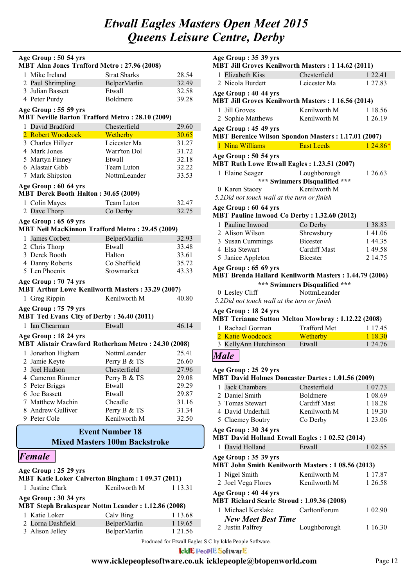| Age Group: 50 54 yrs                                                              |                                      |         |  |  |
|-----------------------------------------------------------------------------------|--------------------------------------|---------|--|--|
| <b>MBT Alan Jones Trafford Metro: 27.96 (2008)</b>                                |                                      |         |  |  |
| 1 Mike Ireland                                                                    | <b>Strat Sharks</b>                  | 28.54   |  |  |
| 2 Paul Shrimpling                                                                 | BelperMarlin                         | 32.49   |  |  |
| 3 Julian Bassett                                                                  | Etwall                               | 32.58   |  |  |
| 4 Peter Purdy                                                                     | Boldmere                             | 39.28   |  |  |
| Age Group: 55 59 yrs<br><b>MBT Neville Barton Trafford Metro: 28.10 (2009)</b>    |                                      |         |  |  |
| 1 David Bradford                                                                  | Chesterfield                         | 29.60   |  |  |
| 2 Robert Woodcock                                                                 | Wetherby                             | 30.65   |  |  |
| 3 Charles Hillyer                                                                 | Leicester Ma                         | 31.27   |  |  |
| 4 Mark Jones                                                                      | Warr'ton Dol                         | 31.72   |  |  |
| 5 Martyn Finney                                                                   | Etwall                               | 32.18   |  |  |
| 6 Alastair Gibb                                                                   | Team Luton                           | 32.22   |  |  |
| 7 Mark Shipston                                                                   | NottmLeander                         | 33.53   |  |  |
| Age Group: 60 64 yrs                                                              |                                      |         |  |  |
| MBT Derek Booth Halton: 30.65 (2009)                                              |                                      |         |  |  |
| 1 Colin Mayes                                                                     | Team Luton                           | 32.47   |  |  |
| 2 Dave Thorp                                                                      | Co Derby                             | 32.75   |  |  |
| Age Group: 65 69 yrs                                                              |                                      |         |  |  |
| <b>MBT Neil MacKinnon Trafford Metro: 29.45 (2009)</b>                            |                                      |         |  |  |
| 1 James Corbett                                                                   | BelperMarlin                         | 32.93   |  |  |
| 2 Chris Thorp                                                                     | Etwall                               | 33.48   |  |  |
| 3 Derek Booth                                                                     | Halton                               | 33.61   |  |  |
| 4 Danny Roberts                                                                   | Co Sheffield                         | 35.72   |  |  |
| 5 Len Phoenix                                                                     | Stowmarket                           | 43.33   |  |  |
| Age Group: 70 74 yrs<br><b>MBT Arthur Lowe Kenilworth Masters: 33.29 (2007)</b>   |                                      |         |  |  |
| 1 Greg Rippin                                                                     | Kenilworth M                         | 40.80   |  |  |
| Age Group: 75 79 yrs                                                              |                                      |         |  |  |
| MBT Ted Evans City of Derby: 36.40 (2011)                                         |                                      |         |  |  |
| Ian Chearman<br>1                                                                 | Etwall                               | 46.14   |  |  |
| Age Group: 18 24 yrs                                                              |                                      |         |  |  |
| MBT Alistair Crawford Rotherham Metro: 24.30 (2008)                               |                                      |         |  |  |
| 1 Jonathon Higham                                                                 | NottmLeander                         | 25.41   |  |  |
| 2 Jamie Keyte                                                                     | Perry B & TS                         | 26.60   |  |  |
| 3 Joel Hudson                                                                     | Chesterfield                         | 27.96   |  |  |
| 4 Cameron Rimmer                                                                  | Perry B & TS                         | 29.08   |  |  |
| 5 Peter Briggs                                                                    | Etwall                               | 29.29   |  |  |
| 6 Joe Bassett                                                                     | Etwall                               | 29.87   |  |  |
| 7 Matthew Machin                                                                  | Cheadle                              | 31.16   |  |  |
| 8 Andrew Gulliver                                                                 | Perry B & TS                         | 31.34   |  |  |
| 9 Peter Cole                                                                      | Kenilworth M                         | 32.50   |  |  |
|                                                                                   | <b>Event Number 18</b>               |         |  |  |
|                                                                                   | <b>Mixed Masters 100m Backstroke</b> |         |  |  |
|                                                                                   |                                      |         |  |  |
| Female                                                                            |                                      |         |  |  |
| Age Group: 25 29 yrs                                                              |                                      |         |  |  |
| <b>MBT Katie Loker Calverton Bingham: 1 09.37 (2011)</b>                          |                                      |         |  |  |
| 1 Justine Clark                                                                   | Kenilworth M                         | 1 13.31 |  |  |
| Age Group: 30 34 yrs<br><b>MBT Steph Brakespear Nottm Leander: 1.12.86 (2008)</b> |                                      |         |  |  |
| 1 Katie Loker                                                                     |                                      | 1 13.68 |  |  |
| Lorna Dashfield<br>2                                                              | Calv Bing<br>BelperMarlin            | 1 19.65 |  |  |

3 Alison Jelley BelperMarlin 1 21.56

| Age Group: 35 39 yrs<br>MBT Jill Groves Kenilworth Masters: 1 14.62 (2011)                                     |                               |                    |  |  |
|----------------------------------------------------------------------------------------------------------------|-------------------------------|--------------------|--|--|
| 1 Elizabeth Kiss                                                                                               | Chesterfield                  | 1 2 2.41           |  |  |
| 2 Nicola Burdett                                                                                               | Leicester Ma                  | 1 27.83            |  |  |
| Age Group: 40 44 yrs<br>MBT Jill Groves Kenilworth Masters: 1 16.56 (2014)                                     |                               |                    |  |  |
| 1 Jill Groves                                                                                                  | Kenilworth M                  | 1 18.56            |  |  |
| 2 Sophie Matthews                                                                                              | Kenilworth M                  | 1 26.19            |  |  |
| Age Group: 45 49 yrs<br><b>MBT Berenice Wilson Spondon Masters: 1.17.01 (2007)</b>                             |                               |                    |  |  |
| 1 Nina Williams                                                                                                | <b>East Leeds</b>             | $124.86*$          |  |  |
| Age Group: 50 54 yrs<br>MBT Ruth Lowe Etwall Eagles: 1.23.51 (2007)                                            |                               |                    |  |  |
| 1 Elaine Seager                                                                                                | Loughborough                  | 1 26.63            |  |  |
|                                                                                                                | *** Swimmers Disqualified *** |                    |  |  |
| 0 Karen Stacey<br>5.2Did not touch wall at the turn or finish                                                  | Kenilworth M                  |                    |  |  |
| Age Group: 60 64 yrs<br>MBT Pauline Inwood Co Derby: 1.32.60 (2012)                                            |                               |                    |  |  |
| 1 Pauline Inwood                                                                                               | Co Derby                      | 1 38.83            |  |  |
| 2 Alison Wilson                                                                                                | Shrewsbury                    | 141.06             |  |  |
| 3 Susan Cummings                                                                                               | <b>Bicester</b>               | 144.35             |  |  |
| 4 Elsa Stewart                                                                                                 | <b>Cardiff Mast</b>           | 149.58             |  |  |
| 5 Janice Appleton                                                                                              | <b>Bicester</b>               | 2 14.75            |  |  |
| Age Group: 65 69 yrs                                                                                           |                               |                    |  |  |
| MBT Brenda Hallard Kenilworth Masters: 1.44.79 (2006)                                                          |                               |                    |  |  |
| *** Swimmers Disqualified ***<br>NottmLeander<br>0 Lesley Cliff<br>5.2Did not touch wall at the turn or finish |                               |                    |  |  |
|                                                                                                                |                               |                    |  |  |
| Age Group: 18 24 yrs<br><b>MBT Terianne Sutton Melton Mowbray: 1.12.22 (2008)</b>                              |                               |                    |  |  |
| 1 Rachael Gorman                                                                                               | <b>Trafford Met</b>           | 1 17.45            |  |  |
| 2 Katie Woodcock                                                                                               | Wetherby                      | 1 18.30            |  |  |
| 3 KellyAnn Hutchinson                                                                                          | Etwall                        | 1 24.76            |  |  |
| <b>Male</b>                                                                                                    |                               |                    |  |  |
| Age Group: 25 29 yrs<br><b>MBT David Holmes Doncaster Dartes: 1.01.56 (2009)</b>                               |                               |                    |  |  |
| 1 Jack Chambers                                                                                                | Chesterfield                  | 1 07.73            |  |  |
| 2 Daniel Smith                                                                                                 | <b>Boldmere</b>               | 1 08.69            |  |  |
| 3 Tomas Stewart                                                                                                | <b>Cardiff Mast</b>           | 1 18.28            |  |  |
| 4 David Underhill                                                                                              | Kenilworth M                  | 1 19.30            |  |  |
| 5 Claemey Boutry<br>Age Group: 30 34 yrs                                                                       | Co Derby                      | 1 23.06            |  |  |
| <b>MBT David Holland Etwall Eagles: 1 02.52 (2014)</b>                                                         |                               |                    |  |  |
| 1 David Holland                                                                                                | Etwall                        | 1 02.55            |  |  |
| Age Group: 35 39 yrs<br>MBT John Smith Kenilworth Masters: 1 08.56 (2013)                                      |                               |                    |  |  |
| 1 Nigel Smith                                                                                                  | Kenilworth M                  | 1 17.87            |  |  |
| 2 Joel Vega Flores                                                                                             | Kenilworth M                  | 1 26.58            |  |  |
| Age Group: 40 44 yrs<br><b>MBT Richard Searle Stroud: 1.09.36 (2008)</b>                                       |                               |                    |  |  |
| 1 Michael Kerslake                                                                                             | CarltonForum                  |                    |  |  |
| <b>New Meet Best Time</b><br>2 Justin Palfrey                                                                  | Loughborough                  | 1 02.90<br>1 16.30 |  |  |

Produced for Etwall Eagles S C by Ickle People Software.

**IckIE PeoplE SoftwarE**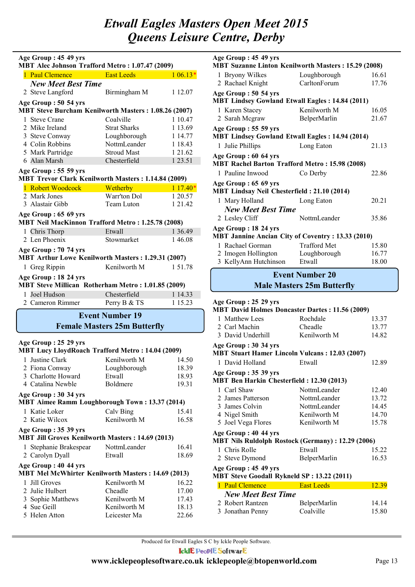| Age Group: 45 49 yrs<br>MBT Alec Johnson Trafford Metro: 1.07.47 (2009)             |                                     |           |  |
|-------------------------------------------------------------------------------------|-------------------------------------|-----------|--|
| 1 Paul Clemence                                                                     | <b>East Leeds</b>                   | $106.13*$ |  |
| <b>New Meet Best Time</b>                                                           |                                     |           |  |
| 2 Steve Langford                                                                    | Birmingham M                        | 1 12.07   |  |
|                                                                                     |                                     |           |  |
| Age Group: 50 54 yrs<br><b>MBT Steve Burcham Kenilworth Masters: 1.08.26 (2007)</b> |                                     |           |  |
| 1 Steve Crane                                                                       | Coalville                           | 1 10.47   |  |
| 2 Mike Ireland                                                                      | <b>Strat Sharks</b>                 | 1 13.69   |  |
| 3 Steve Conway                                                                      | Loughborough                        | 1 14.77   |  |
| 4 Colin Robbins                                                                     | NottmLeander                        | 1 18.43   |  |
| 5 Mark Partridge                                                                    | <b>Stroud Mast</b>                  | 1 21.62   |  |
| 6 Alan Marsh                                                                        | Chesterfield                        | 1 23.51   |  |
| Age Group: 55 59 yrs<br>MBT Trevor Clark Kenilworth Masters: 1.14.84 (2009)         |                                     |           |  |
| 1 Robert Woodcock                                                                   | Wetherby                            | $117.40*$ |  |
| 2 Mark Jones                                                                        | Warr'ton Dol                        | 1 20.57   |  |
| 3 Alastair Gibb                                                                     | Team Luton                          | 1 21.42   |  |
| Age Group: 65 69 yrs                                                                |                                     |           |  |
| MBT Neil MacKinnon Trafford Metro: 1.25.78 (2008)                                   |                                     |           |  |
| 1 Chris Thorp                                                                       | Etwall                              | 1 3 6 4 9 |  |
| 2 Len Phoenix                                                                       | Stowmarket                          | 146.08    |  |
| Age Group: 70 74 yrs<br>MBT Arthur Lowe Kenilworth Masters: 1.29.31 (2007)          |                                     |           |  |
| 1 Greg Rippin                                                                       | Kenilworth M                        | 151.78    |  |
| Age Group: 18 24 yrs                                                                |                                     |           |  |
| MBT Steve Millican Rotherham Metro: 1.01.85 (2009)                                  |                                     |           |  |
| 1 Joel Hudson                                                                       | Chesterfield                        | 1 14.33   |  |
| 2 Cameron Rimmer                                                                    | Perry B & TS                        | 1 15.23   |  |
|                                                                                     | <b>Event Number 19</b>              |           |  |
|                                                                                     | <b>Female Masters 25m Butterfly</b> |           |  |
| Age Group: 25 29 yrs                                                                |                                     |           |  |
| <b>MBT Lucy LloydRoach Trafford Metro: 14.04 (2009)</b>                             |                                     |           |  |
| 1 Justine Clark                                                                     | Kenilworth M                        | 14.50     |  |
| 2 Fiona Conway                                                                      | Loughborough                        | 18.39     |  |
| 3 Charlotte Howard                                                                  | Etwall                              | 18.93     |  |
| 4 Catalina Newble                                                                   | Boldmere                            | 19.31     |  |
| Age Group: 30 34 yrs<br><b>MBT Aimee Ramm Loughborough Town: 13.37 (2014)</b>       |                                     |           |  |
| 1 Katie Loker                                                                       | Calv Bing                           | 15.41     |  |
| 2 Katie Wilcox                                                                      | Kenilworth M                        | 16.58     |  |
| Age Group: 35 39 yrs<br><b>MBT Jill Groves Kenilworth Masters: 14.69 (2013)</b>     |                                     |           |  |
| 1 Stephanie Brakespear                                                              | NottmLeander                        | 16.41     |  |
| 2 Carolyn Dyall                                                                     | Etwall                              | 18.69     |  |
| Age Group: 40 44 yrs<br>MBT Mel McWhirter Kenilworth Masters: 14.69 (2013)          |                                     |           |  |
| 1 Jill Groves                                                                       | Kenilworth M                        | 16.22     |  |
| 2 Julie Hulbert                                                                     | Cheadle                             | 17.00     |  |
| 3 Sophie Matthews                                                                   | Kenilworth M                        | 17.43     |  |
| 4 Sue Geill                                                                         | Kenilworth M                        | 18.13     |  |
| 5 Helen Atton                                                                       | Leicester Ma                        | 22.66     |  |

| Age Group: 45 49 yrs<br><b>MBT Suzanne Linton Kenilworth Masters: 15.29 (2008)</b> |                     |       |  |  |
|------------------------------------------------------------------------------------|---------------------|-------|--|--|
|                                                                                    |                     |       |  |  |
| 1 Bryony Wilkes                                                                    | Loughborough        | 16.61 |  |  |
| 2 Rachael Knight                                                                   | CarltonForum        | 17.76 |  |  |
| Age Group: 50 54 yrs<br><b>MBT Lindsey Gowland Etwall Eagles: 14.84 (2011)</b>     |                     |       |  |  |
| 1 Karen Stacey                                                                     | Kenilworth M        | 16.05 |  |  |
| 2 Sarah Mcgraw                                                                     | BelperMarlin        | 21.67 |  |  |
|                                                                                    |                     |       |  |  |
| Age Group: 55 59 yrs                                                               |                     |       |  |  |
| <b>MBT Lindsey Gowland Etwall Eagles: 14.94 (2014)</b>                             |                     |       |  |  |
| 1 Julie Phillips                                                                   | Long Eaton          | 21.13 |  |  |
| Age Group: 60 64 yrs                                                               |                     |       |  |  |
| <b>MBT Rachel Barton Trafford Metro: 15.98 (2008)</b>                              |                     |       |  |  |
| 1 Pauline Inwood                                                                   | Co Derby            | 22.86 |  |  |
| Age Group: 65 69 yrs                                                               |                     |       |  |  |
| <b>MBT Lindsay Neil Chesterfield: 21.10 (2014)</b>                                 |                     |       |  |  |
| 1 Mary Holland                                                                     | Long Eaton          | 20.21 |  |  |
| <b>New Meet Best Time</b>                                                          |                     |       |  |  |
| 2 Lesley Cliff                                                                     | NottmLeander        | 35.86 |  |  |
| Age Group: 18 24 yrs                                                               |                     |       |  |  |
| <b>MBT Jannine Ancian City of Coventry: 13.33 (2010)</b>                           |                     |       |  |  |
| 1 Rachael Gorman                                                                   | <b>Trafford Met</b> | 15.80 |  |  |
| 2 Imogen Hollington                                                                | Loughborough        | 16.77 |  |  |
| 3 KellyAnn Hutchinson                                                              | Etwall              | 18.00 |  |  |
|                                                                                    |                     |       |  |  |
| <b>Event Number 20</b>                                                             |                     |       |  |  |

### **Male Masters 25m Butterfly**

| Age Group: 25 29 yrs                              |                                                          |       |
|---------------------------------------------------|----------------------------------------------------------|-------|
|                                                   | <b>MBT David Holmes Doncaster Dartes: 11.56 (2009)</b>   |       |
| 1 Matthew Lees                                    | Rochdale                                                 | 13.37 |
| 2 Carl Machin                                     | Cheadle                                                  | 13.77 |
| 3 David Underhill                                 | Kenilworth M                                             | 14.82 |
| Age Group: 30 34 yrs                              |                                                          |       |
|                                                   | <b>MBT Stuart Hamer Lincoln Vulcans: 12.03 (2007)</b>    |       |
| 1 David Holland                                   | Etwall                                                   | 12.89 |
| Age Group: 35 39 yrs                              |                                                          |       |
| <b>MBT Ben Harkin Chesterfield: 12.30 (2013)</b>  |                                                          |       |
| 1 Carl Shaw                                       | NottmLeander                                             | 12.40 |
| 2 James Patterson                                 | NottmLeander                                             | 13.72 |
| 3 James Colvin                                    | NottmLeander                                             | 14.45 |
| 4 Nigel Smith                                     | Kenilworth M                                             | 14.70 |
| 5 Joel Vega Flores                                | Kenilworth M                                             | 15.78 |
| Age Group: 40 44 yrs                              |                                                          |       |
|                                                   | <b>MBT Nils Ruldolph Rostock (Germany): 12.29 (2006)</b> |       |
| 1 Chris Rolle                                     | Etwall                                                   | 15.22 |
| 2 Steve Dymond                                    | BelperMarlin                                             | 16.53 |
| Age Group: 45 49 yrs                              |                                                          |       |
| <b>MBT Steve Goodall Rykneld SP: 13.22 (2011)</b> |                                                          |       |
| 1 Paul Clemence                                   | <b>East Leeds</b>                                        | 12.39 |
| <b>New Meet Best Time</b>                         |                                                          |       |
| 2 Robert Rantzen                                  | BelperMarlin                                             | 14.14 |
| 2. Ianathan Danny Coolyilla                       |                                                          | 1500  |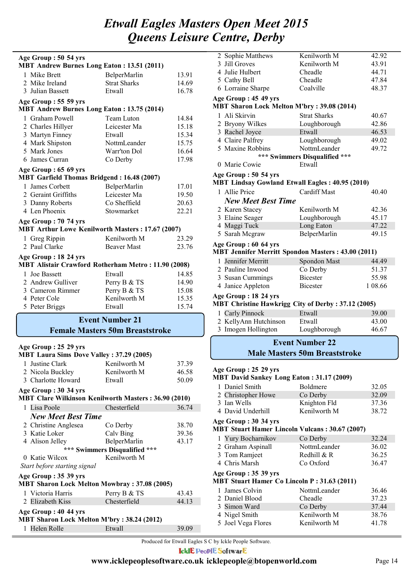| Age Group: 50 54 yrs<br><b>MBT Andrew Burnes Long Eaton: 13.51 (2011)</b>    |                                        |       |  |  |
|------------------------------------------------------------------------------|----------------------------------------|-------|--|--|
| 1 Mike Brett                                                                 | BelperMarlin                           | 13.91 |  |  |
| 2 Mike Ireland                                                               | <b>Strat Sharks</b>                    | 14.69 |  |  |
| 3 Julian Bassett                                                             | Etwall                                 | 16.78 |  |  |
|                                                                              |                                        |       |  |  |
| Age Group: 55 59 yrs<br><b>MBT Andrew Burnes Long Eaton: 13.75 (2014)</b>    |                                        |       |  |  |
| 1 Graham Powell                                                              | Team Luton                             | 14.84 |  |  |
| 2 Charles Hillyer                                                            | Leicester Ma                           | 15.18 |  |  |
| 3 Martyn Finney                                                              | Etwall                                 | 15.34 |  |  |
| 4 Mark Shipston                                                              | NottmLeander                           | 15.75 |  |  |
| 5 Mark Jones                                                                 | Warr'ton Dol                           | 16.64 |  |  |
| 6 James Curran                                                               | Co Derby                               | 17.98 |  |  |
| Age Group: 65 69 yrs                                                         |                                        |       |  |  |
| <b>MBT Garfield Thomas Bridgend: 16.48 (2007)</b>                            |                                        |       |  |  |
| 1 James Corbett                                                              | BelperMarlin                           | 17.01 |  |  |
| 2 Geraint Griffiths                                                          | Leicester Ma                           | 19.50 |  |  |
| 3 Danny Roberts                                                              | Co Sheffield                           | 20.63 |  |  |
| 4 Len Phoenix                                                                | Stowmarket                             | 22.21 |  |  |
| Age Group: 70 74 yrs                                                         |                                        |       |  |  |
| MBT Arthur Lowe Kenilworth Masters: 17.67 (2007)                             |                                        |       |  |  |
| 1 Greg Rippin                                                                | Kenilworth M                           | 23.29 |  |  |
| 2 Paul Clarke                                                                | <b>Beaver Mast</b>                     | 23.76 |  |  |
| Age Group: 18 24 yrs                                                         |                                        |       |  |  |
| MBT Alistair Crawford Rotherham Metro: 11.90 (2008)                          |                                        |       |  |  |
| 1 Joe Bassett                                                                | Etwall                                 | 14.85 |  |  |
| 2 Andrew Gulliver                                                            | Perry B & TS                           | 14.90 |  |  |
| 3 Cameron Rimmer                                                             | Perry B & TS                           | 15.08 |  |  |
| 4 Peter Cole                                                                 | Kenilworth M                           | 15.35 |  |  |
| 5 Peter Briggs                                                               | Etwall                                 | 15.74 |  |  |
|                                                                              | <b>Event Number 21</b>                 |       |  |  |
|                                                                              | <b>Female Masters 50m Breaststroke</b> |       |  |  |
|                                                                              |                                        |       |  |  |
| Age Group: 25 29 yrs                                                         |                                        |       |  |  |
| <b>MBT Laura Sims Dove Valley : 37.29 (2005)</b>                             |                                        |       |  |  |
| 1 Justine Clark                                                              | Kenilworth M                           | 37.39 |  |  |
| 2 Nicola Buckley<br>3 Charlotte Howard                                       | Kenilworth M                           | 46.58 |  |  |
|                                                                              | Etwall                                 | 50.09 |  |  |
| Age Group: 30 34 yrs<br>MBT Clare Wilkinson Kenilworth Masters: 36.90 (2010) |                                        |       |  |  |
| 1 Lisa Poole                                                                 | Chesterfield                           | 36.74 |  |  |
| <b>New Meet Best Time</b>                                                    |                                        |       |  |  |
| 2 Christine Anglesea                                                         | Co Derby                               | 38.70 |  |  |
| 3 Katie Loker                                                                | Calv Bing                              | 39.36 |  |  |
| 4 Alison Jelley                                                              | BelperMarlin                           | 43.17 |  |  |
|                                                                              | *** Swimmers Disqualified ***          |       |  |  |
| 0 Katie Wilcox                                                               | Kenilworth M                           |       |  |  |
| Start before starting signal                                                 |                                        |       |  |  |
| Age Group: 35 39 yrs                                                         |                                        |       |  |  |
| <b>MBT Sharon Lock Melton Mowbray: 37.08 (2005)</b>                          |                                        |       |  |  |
| 1 Victoria Harris Perry R & TS                                               |                                        | 43 43 |  |  |

| 1 Victoria Harris                                                   | Perry B & TS | 43.43 |
|---------------------------------------------------------------------|--------------|-------|
| 2 Elizabeth Kiss                                                    | Chesterfield | 44 13 |
| Age Group : 40 44 yrs<br>MBT Sharon Lock Melton M'bry: 38.24 (2012) |              |       |
| 1 Helen Rolle                                                       | Etwall       | 39.09 |

| 2 Sophie Matthews                                                              | Kenilworth M                         | 42.92   |
|--------------------------------------------------------------------------------|--------------------------------------|---------|
| 3 Jill Groves                                                                  | Kenilworth M                         | 43.91   |
| 4 Julie Hulbert                                                                | Cheadle                              | 44.71   |
| 5 Cathy Bell                                                                   | Cheadle                              | 47.84   |
| 6 Lorraine Sharpe                                                              | Coalville                            | 48.37   |
| Age Group: 45 49 yrs                                                           |                                      |         |
| <b>MBT Sharon Lock Melton M'bry: 39.08 (2014)</b>                              |                                      |         |
| 1 Ali Skirvin                                                                  | <b>Strat Sharks</b>                  | 40.67   |
| 2 Bryony Wilkes                                                                | Loughborough                         | 42.86   |
| 3 Rachel Joyce                                                                 | Etwall                               | 46.53   |
| 4 Claire Palfrey                                                               | Loughborough                         | 49.02   |
| 5 Maxine Robbins                                                               | NottmLeander                         | 49.72   |
|                                                                                | *** Swimmers Disqualified ***        |         |
| 0 Marie Cowie                                                                  | Etwall                               |         |
|                                                                                |                                      |         |
| Age Group: 50 54 yrs<br><b>MBT Lindsay Gowland Etwall Eagles: 40.95 (2010)</b> |                                      |         |
|                                                                                |                                      |         |
| 1 Allie Price                                                                  | <b>Cardiff Mast</b>                  | 40.40   |
| <b>New Meet Best Time</b>                                                      |                                      |         |
| 2 Karen Stacey                                                                 | Kenilworth M                         | 42.36   |
| 3 Elaine Seager                                                                | Loughborough                         | 45.17   |
| 4 Maggi Tuck                                                                   | Long Eaton                           | 47.22   |
| 5 Sarah Mcgraw                                                                 | BelperMarlin                         | 49.15   |
| Age Group: 60 64 yrs                                                           |                                      |         |
| <b>MBT Jennifer Merritt Spondon Masters: 43.00 (2011)</b>                      |                                      |         |
| 1 Jennifer Merritt                                                             | Spondon Mast                         | 44.49   |
| 2 Pauline Inwood                                                               | Co Derby                             | 51.37   |
| 3 Susan Cummings                                                               | <b>Bicester</b>                      | 55.98   |
| 4 Janice Appleton                                                              | <b>Bicester</b>                      | 1 08.66 |
| Age Group: 18 24 yrs                                                           |                                      |         |
| MBT Christine Hawkrigg City of Derby: 37.12 (2005)                             |                                      |         |
| 1 Carly Pinnock                                                                | Etwall                               | 39.00   |
| 2 KellyAnn Hutchinson                                                          | Etwall                               | 43.00   |
| 3 Imogen Hollington                                                            | Loughborough                         | 46.67   |
|                                                                                |                                      |         |
|                                                                                | <b>Event Number 22</b>               |         |
|                                                                                | <b>Male Masters 50m Breaststroke</b> |         |
|                                                                                |                                      |         |
| Age Group: 25 29 yrs                                                           |                                      |         |
| <b>MBT David Sankey Long Eaton: 31.17 (2009)</b>                               |                                      |         |
| 1 Daniel Smith                                                                 | Boldmere                             | 32.05   |
| 2 Christopher Howe                                                             | Co Derby                             | 32.09   |
| 3 Ian Wells                                                                    | Knighton Fld                         | 37.36   |
| 4 David Underhill                                                              | Kenilworth M                         | 38.72   |
| Age Group: 30 34 yrs                                                           |                                      |         |
| <b>MBT Stuart Hamer Lincoln Vulcans: 30.67 (2007)</b>                          |                                      |         |
|                                                                                |                                      |         |
| 1 Yury Bocharnikov                                                             | Co Derby                             | 32.24   |
| 2 Graham Aspinall                                                              | NottmLeander                         | 36.02   |
| 3 Tom Ramjeet                                                                  | Redhill & R                          | 36.25   |
| 4 Chris Marsh                                                                  | Co Oxford                            | 36.47   |
| Age Group: 35 39 yrs                                                           |                                      |         |

#### **MBT Stuart Hamer Co Lincoln P : 31.63 (2011)**

| 1 James Colvin     | NottmLeander | 36.46 |
|--------------------|--------------|-------|
| 2 Daniel Blood     | Cheadle      | 37 23 |
| 3 Simon Ward       | Co Derby     | 3744  |
| 4 Nigel Smith      | Kenilworth M | 38.76 |
| 5 Joel Vega Flores | Kenilworth M | 41 78 |

Produced for Etwall Eagles S C by Ickle People Software.

**IcklE PeoplE SoftwarE**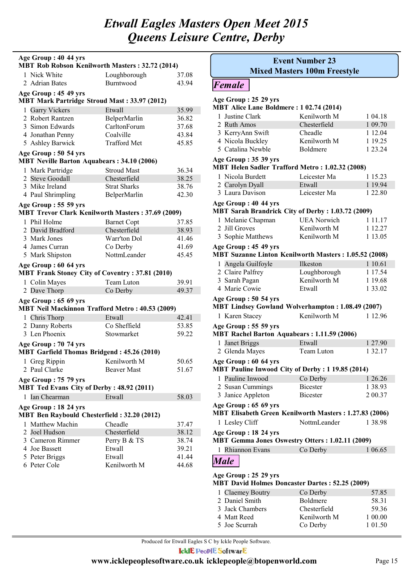| Age Group: 40 44 yrs<br><b>MBT Rob Robson Kenilworth Masters: 32.72 (2014)</b> |                     |       |
|--------------------------------------------------------------------------------|---------------------|-------|
| 1 Nick White                                                                   | Loughborough        | 37.08 |
| 2 Adrian Bates                                                                 | <b>Burntwood</b>    | 43.94 |
| Age Group: 45 49 yrs                                                           |                     |       |
| <b>MBT Mark Partridge Stroud Mast: 33.97 (2012)</b>                            |                     |       |
| 1 Garry Vickers                                                                | Etwall              | 35.99 |
| 2 Robert Rantzen                                                               | BelperMarlin        | 36.82 |
| 3 Simon Edwards                                                                | CarltonForum        | 37.68 |
| 4 Jonathan Penny                                                               | Coalville           | 43.84 |
| 5 Ashley Barwick                                                               | <b>Trafford Met</b> | 45.85 |
| Age Group: 50 54 yrs<br><b>MBT Neville Barton Aquabears: 34.10 (2006)</b>      |                     |       |
| 1 Mark Partridge                                                               | <b>Stroud Mast</b>  | 36.34 |
| 2 Steve Goodall                                                                | Chesterfield        | 38.25 |
| 3 Mike Ireland                                                                 | <b>Strat Sharks</b> | 38.76 |
| 4 Paul Shrimpling                                                              | BelperMarlin        | 42.30 |
| Age Group: 55 59 yrs                                                           |                     |       |
| <b>MBT Trevor Clark Kenilworth Masters: 37.69 (2009)</b>                       |                     |       |
| 1 Phil Holme                                                                   | <b>Barnet Copt</b>  | 37.85 |
| 2 David Bradford                                                               | Chesterfield        | 38.93 |
| 3 Mark Jones                                                                   | Warr'ton Dol        | 41.46 |
| 4 James Curran                                                                 | Co Derby            | 41.69 |
| 5 Mark Shipston                                                                | NottmLeander        | 45.45 |
| Age Group: 60 64 yrs<br><b>MBT Frank Stoney City of Coventry: 37.81 (2010)</b> |                     |       |
| 1 Colin Mayes                                                                  | Team Luton          | 39.91 |
| 2 Dave Thorp                                                                   | Co Derby            | 49.37 |
| Age Group: 65 69 yrs<br><b>MBT Neil Mackinnon Trafford Metro: 40.53 (2009)</b> |                     |       |
| 1 Chris Thorp                                                                  | Etwall              | 42.41 |
| 2 Danny Roberts                                                                | Co Sheffield        | 53.85 |
| 3 Len Phoenix                                                                  | Stowmarket          | 59.22 |
|                                                                                |                     |       |
| Age Group: 70 74 yrs<br><b>MBT Garfield Thomas Bridgend: 45.26 (2010)</b>      |                     |       |
| 1 Greg Rippin                                                                  | Kenilworth M        | 50.65 |
| 2 Paul Clarke                                                                  | <b>Beaver Mast</b>  | 51.67 |
| Age Group: 75 79 yrs<br>MBT Ted Evans City of Derby: 48.92 (2011)              |                     |       |
| 1 Ian Chearman                                                                 | Etwall              | 58.03 |
| Age Group : 18 24 yrs                                                          |                     |       |
| <b>MBT Ben Raybould Chesterfield: 32.20 (2012)</b>                             |                     |       |
| 1 Matthew Machin                                                               | Cheadle             | 37.47 |
| 2 Joel Hudson                                                                  | Chesterfield        | 38.12 |
| 3 Cameron Rimmer                                                               | Perry B & TS        | 38.74 |
| 4 Joe Bassett                                                                  | Etwall              | 39.21 |
| 5 Peter Briggs                                                                 | Etwall              | 41.44 |
| 6 Peter Cole                                                                   | Kenilworth M        | 44.68 |

| <b>Event Number 23</b>                                       |                                     |             |
|--------------------------------------------------------------|-------------------------------------|-------------|
|                                                              | <b>Mixed Masters 100m Freestyle</b> |             |
| <b>Female</b>                                                |                                     |             |
| Age Group: 25 29 yrs                                         |                                     |             |
| MBT Alice Lane Boldmere: 1 02.74 (2014)                      |                                     |             |
| 1 Justine Clark                                              | Kenilworth M                        | 1 04.18     |
| 2 Ruth Amos                                                  | Chesterfield                        | 1 09.70     |
| 3 KerryAnn Swift                                             | Cheadle                             | 1 12.04     |
| 4 Nicola Buckley                                             | Kenilworth M                        | 1 19.25     |
| 5 Catalina Newble                                            | <b>Boldmere</b>                     | 1 23.24     |
| Age Group: 35 39 yrs                                         |                                     |             |
| MBT Helen Sadler Trafford Metro: 1.02.32 (2008)              |                                     |             |
| 1 Nicola Burdett                                             | Leicester Ma                        | 1 15.23     |
| 2 Carolyn Dyall                                              | Etwall                              | 1 19.94     |
| 3 Laura Davison                                              | Leicester Ma                        | 1 22.80     |
| Age Group: 40 44 yrs                                         |                                     |             |
| <b>MBT Sarah Brandrick City of Derby: 1.03.72 (2009)</b>     |                                     |             |
| 1 Melanie Chapman                                            | <b>UEA Norwich</b>                  | 1 1 1 1 1 7 |
| 2 Jill Groves                                                | Kenilworth M                        | 1 12.27     |
| 3 Sophie Matthews                                            | Kenilworth M                        | 1 13.05     |
| Age Group: 45 49 yrs                                         |                                     |             |
| <b>MBT Suzanne Linton Kenilworth Masters: 1.05.52 (2008)</b> |                                     |             |
| 1 Angela Guilfoyle                                           | Ilkeston                            | 1 10.61     |
| 2 Claire Palfrey                                             | Loughborough                        | 1 17.54     |
| 3 Sarah Pagan                                                | Kenilworth M                        | 1 19.68     |
| 4 Marie Cowie                                                | Etwall                              | 1 33.02     |
| Age Group: 50 54 yrs                                         |                                     |             |
| MBT Lindsey Gowland Wolverhampton: 1.08.49 (2007)            |                                     |             |
| 1 Karen Stacey                                               | Kenilworth M                        | 1 12.96     |
| Age Group: 55 59 yrs                                         |                                     |             |
| <b>MBT Rachel Barton Aquabears: 1.11.59 (2006)</b>           |                                     |             |
| Janet Briggs<br>1                                            | Etwall                              | 1 27.90     |
| 2 Glenda Mayes                                               | Team Luton                          | 1 32.17     |
| Age Group: 60 64 yrs                                         |                                     |             |
| <b>MBT Pauline Inwood City of Derby: 1 19.85 (2014)</b>      |                                     |             |
| 1 Pauline Inwood                                             | Co Derby                            | 1 26.26     |
| 2 Susan Cummings                                             | <b>Bicester</b>                     | 1 38.93     |
| 3 Janice Appleton                                            | <b>Bicester</b>                     | 2 00.37     |
| Age Group: 65 69 yrs                                         |                                     |             |
| MBT Elisabeth Green Kenilworth Masters: 1.27.83 (2006)       |                                     |             |
| 1 Lesley Cliff                                               | NottmLeander                        | 1 38.98     |
| Age Group: 18 24 yrs                                         |                                     |             |
| <b>MBT Gemma Jones Oswestry Otters: 1.02.11 (2009)</b>       |                                     |             |
| 1 Rhiannon Evans                                             | Co Derby                            | 1 06.65     |
| <b>Male</b>                                                  |                                     |             |
| Age Group : 25 29 yrs                                        |                                     |             |

| <b>MBT David Holmes Doncaster Dartes: 52.25 (2009)</b> |                  |                 |         |
|--------------------------------------------------------|------------------|-----------------|---------|
|                                                        | 1 Claemey Boutry | Co Derby        | 57.85   |
|                                                        | 2 Daniel Smith   | <b>Boldmere</b> | 58.31   |
|                                                        | 3 Jack Chambers  | Chesterfield    | 59.36   |
|                                                        | 4 Matt Reed      | Kenilworth M    | 1 00.00 |
|                                                        | 5 Joe Scurrah    | Co Derby        | 1 01.50 |

Produced for Etwall Eagles S C by Ickle People Software.

**IcklE PeoplE SoftwarE**